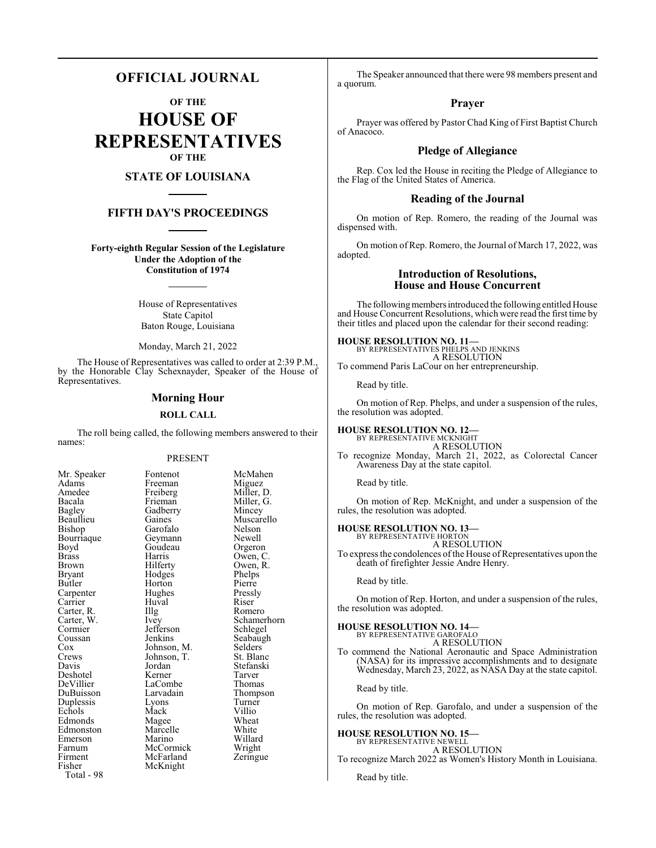# **OFFICIAL JOURNAL**

**OF THE**

**HOUSE OF REPRESENTATIVES OF THE**

# **STATE OF LOUISIANA**

# **FIFTH DAY'S PROCEEDINGS**

**Forty-eighth Regular Session of the Legislature Under the Adoption of the Constitution of 1974**

> House of Representatives State Capitol Baton Rouge, Louisiana

> Monday, March 21, 2022

The House of Representatives was called to order at 2:39 P.M., by the Honorable Clay Schexnayder, Speaker of the House of Representatives.

#### **Morning Hour**

#### **ROLL CALL**

The roll being called, the following members answered to their names:

#### PRESENT

Freiberg<br>Frieman

Gadberry<br>Gaines

Geymann<br>Goudeau

Huval<br>Illg

Jefferson<br>Jenkins

Johnson, T.<br>Jordan

LaCombe<br>Larvadain

McFarland McKnight

| Mr. Speaker                         |
|-------------------------------------|
| Adams                               |
| Amedee                              |
| Bacala                              |
| Bagley                              |
| Beaullieu                           |
| Bishop                              |
| Bourriaque                          |
| Boyd                                |
| <b>Brass</b>                        |
| <b>Brown</b>                        |
| <b>Bryant</b>                       |
| Butler                              |
| Carpenter                           |
| Carrier                             |
|                                     |
|                                     |
| Carter, R.<br>Carter, W.<br>Cormier |
| Coussan<br>Cox                      |
|                                     |
| Crews                               |
| Davis                               |
| Deshotel                            |
| DeVillier                           |
| DuBuisson                           |
| Duplessis                           |
| Echols                              |
| Edmonds                             |
| Edmonston                           |
| Emerson                             |
| Farnum                              |
| Firment                             |
| Fisher                              |
| $Total - 98$                        |

Fontenot McMahen<br>Freeman Miguez Freeman Miguez<br>Freiberg Miller, D. Miller, G.<br>Mincey Muscarello<br>Nelson Garofalo Nelson<br>Gevmann Newell Goudeau Orgeron<br>Harris Owen, C Harris Owen, C.<br>Hilferty Owen, R. Owen, R.<br>Phelps Hodges Phelps<br>Horton Pierre Horton Pierre<br>
Hughes Pressly Hughes Pressl<br>Huval Riser Romero Ivey Schamerhorn<br>Jefferson Schlegel Seabaugh<br>Selders Johnson, M. Selders Johnson, T. St. Blanc Stefanski<br>Tarver Kerner Tarver<br>
LaCombe Thomas Thompson<br>Turner Lyons Turner<br>
Mack Villio Mack Villio<br>
Magee Wheat Magee Wheat<br>
Marcelle White Marcelle White<br>
Marino Willard Marino Willard<br>
McCormick Wright McCormick Wright<br>
McFarland Zeringue

The Speaker announced that there were 98 members present and a quorum.

#### **Prayer**

Prayer was offered by Pastor Chad King of First Baptist Church of Anacoco.

### **Pledge of Allegiance**

Rep. Cox led the House in reciting the Pledge of Allegiance to the Flag of the United States of America.

#### **Reading of the Journal**

On motion of Rep. Romero, the reading of the Journal was dispensed with.

On motion of Rep. Romero, the Journal of March 17, 2022, was adopted.

### **Introduction of Resolutions, House and House Concurrent**

The following members introduced the following entitled House and House Concurrent Resolutions, which were read the first time by their titles and placed upon the calendar for their second reading:

**HOUSE RESOLUTION NO. 11—** BY REPRESENTATIVES PHELPS AND JENKINS A RESOLUTION To commend Paris LaCour on her entrepreneurship.

Read by title.

On motion of Rep. Phelps, and under a suspension of the rules, the resolution was adopted.

# **HOUSE RESOLUTION NO. 12—** BY REPRESENTATIVE MCKNIGHT

A RESOLUTION To recognize Monday, March 21, 2022, as Colorectal Cancer Awareness Day at the state capitol.

Read by title.

On motion of Rep. McKnight, and under a suspension of the rules, the resolution was adopted.

**HOUSE RESOLUTION NO. 13—**

BY REPRESENTATIVE HORTON A RESOLUTION

To express the condolences of the House of Representatives upon the death of firefighter Jessie Andre Henry.

Read by title.

On motion of Rep. Horton, and under a suspension of the rules, the resolution was adopted.

# **HOUSE RESOLUTION NO. 14—** BY REPRESENTATIVE GAROFALO

A RESOLUTION

To commend the National Aeronautic and Space Administration (NASA) for its impressive accomplishments and to designate Wednesday, March 23, 2022, as NASA Day at the state capitol.

Read by title.

On motion of Rep. Garofalo, and under a suspension of the rules, the resolution was adopted.

#### **HOUSE RESOLUTION NO. 15—**

BY REPRESENTATIVE NEWELL A RESOLUTION

To recognize March 2022 as Women's History Month in Louisiana.

Read by title.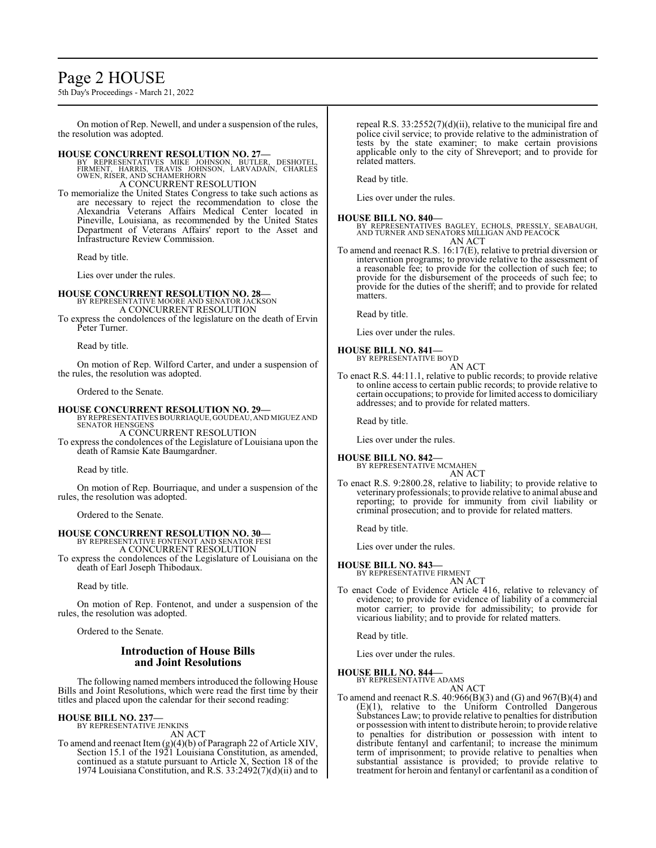# Page 2 HOUSE

5th Day's Proceedings - March 21, 2022

On motion of Rep. Newell, and under a suspension of the rules, the resolution was adopted.

**HOUSE CONCURRENT RESOLUTION NO. 27—**<br>
BY REPRESENTATIVES MIKE JOHNSON, BUTLER, DESHOTEL,<br>
FIRMENT, HARRIS, TRAVIS JOHNSON, LARVADAIN, CHARLES<br>
OWEN, RISER, AND SCHAMERHORN

A CONCURRENT RESOLUTION

To memorialize the United States Congress to take such actions as are necessary to reject the recommendation to close the Alexandria Veterans Affairs Medical Center located in Pineville, Louisiana, as recommended by the United States Department of Veterans Affairs' report to the Asset and Infrastructure Review Commission.

Read by title.

Lies over under the rules.

### **HOUSE CONCURRENT RESOLUTION NO. 28—**

BY REPRESENTATIVE MOORE AND SENATOR JACKSON A CONCURRENT RESOLUTION

To express the condolences of the legislature on the death of Ervin Peter Turner.

Read by title.

On motion of Rep. Wilford Carter, and under a suspension of the rules, the resolution was adopted.

Ordered to the Senate.

**HOUSE CONCURRENT RESOLUTION NO. 29—** BY REPRESENTATIVES BOURRIAQUE, GOUDEAU, AND MIGUEZ AND SENATOR HENSGENS A CONCURRENT RESOLUTION

To express the condolences of the Legislature of Louisiana upon the death of Ramsie Kate Baumgardner.

Read by title.

On motion of Rep. Bourriaque, and under a suspension of the rules, the resolution was adopted.

Ordered to the Senate.

### **HOUSE CONCURRENT RESOLUTION NO. 30—**

BY REPRESENTATIVE FONTENOT AND SENATOR FESI A CONCURRENT RESOLUTION

To express the condolences of the Legislature of Louisiana on the death of Earl Joseph Thibodaux.

Read by title.

On motion of Rep. Fontenot, and under a suspension of the rules, the resolution was adopted.

Ordered to the Senate.

### **Introduction of House Bills and Joint Resolutions**

The following named members introduced the following House Bills and Joint Resolutions, which were read the first time by their titles and placed upon the calendar for their second reading:

#### **HOUSE BILL NO. 237—**

BY REPRESENTATIVE JENKINS AN ACT

To amend and reenact Item (g)(4)(b) of Paragraph 22 of Article XIV, Section 15.1 of the 1921 Louisiana Constitution, as amended, continued as a statute pursuant to Article X, Section 18 of the 1974 Louisiana Constitution, and R.S.  $33:2492(7)(d)(ii)$  and to

repeal R.S. 33:2552(7)(d)(ii), relative to the municipal fire and police civil service; to provide relative to the administration of tests by the state examiner; to make certain provisions applicable only to the city of Shreveport; and to provide for related matters.

Read by title.

Lies over under the rules.

#### **HOUSE BILL NO. 840—**

BY REPRESENTATIVES BAGLEY, ECHOLS, PRESSLY, SEABAUGH, AND TURNER AND SENATORS MILLIGAN AND PEACOCK AN ACT

To amend and reenact R.S. 16:17(E), relative to pretrial diversion or intervention programs; to provide relative to the assessment of a reasonable fee; to provide for the collection of such fee; to provide for the disbursement of the proceeds of such fee; to provide for the duties of the sheriff; and to provide for related matters.

Read by title.

Lies over under the rules.

#### **HOUSE BILL NO. 841—**

BY REPRESENTATIVE BOYD AN ACT

To enact R.S. 44:11.1, relative to public records; to provide relative to online access to certain public records; to provide relative to certain occupations; to provide for limited access to domiciliary addresses; and to provide for related matters.

Read by title.

Lies over under the rules.

# **HOUSE BILL NO. 842—**

BY REPRESENTATIVE MCMAHEN AN ACT

To enact R.S. 9:2800.28, relative to liability; to provide relative to veterinary professionals; to provide relative to animal abuse and reporting; to provide for immunity from civil liability or criminal prosecution; and to provide for related matters.

Read by title.

Lies over under the rules.

# **HOUSE BILL NO. 843—**

BY REPRESENTATIVE FIRMENT AN ACT

To enact Code of Evidence Article 416, relative to relevancy of evidence; to provide for evidence of liability of a commercial motor carrier; to provide for admissibility; to provide for vicarious liability; and to provide for related matters.

Read by title.

Lies over under the rules.

### **HOUSE BILL NO. 844—**

BY REPRESENTATIVE ADAMS AN ACT

To amend and reenact R.S.  $40:966(B)(3)$  and  $(G)$  and  $967(B)(4)$  and (E)(1), relative to the Uniform Controlled Dangerous Substances Law; to provide relative to penalties for distribution or possession with intent to distribute heroin; to provide relative to penalties for distribution or possession with intent to distribute fentanyl and carfentanil; to increase the minimum term of imprisonment; to provide relative to penalties when substantial assistance is provided; to provide relative to treatment for heroin and fentanyl or carfentanil as a condition of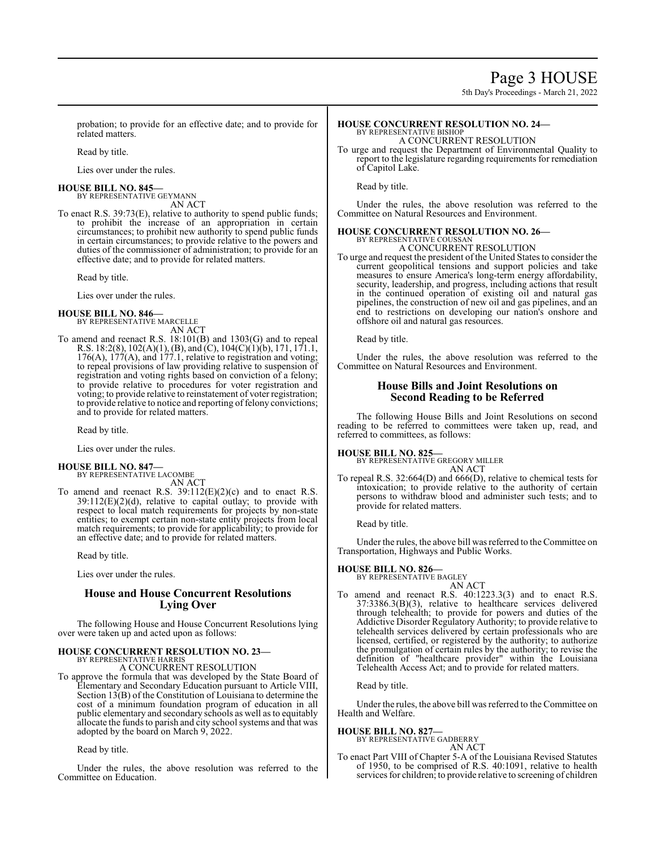5th Day's Proceedings - March 21, 2022

probation; to provide for an effective date; and to provide for related matters.

Read by title.

Lies over under the rules.

#### **HOUSE BILL NO. 845—** BY REPRESENTATIVE GEYMANN

AN ACT

To enact R.S. 39:73(E), relative to authority to spend public funds; to prohibit the increase of an appropriation in certain circumstances; to prohibit new authority to spend public funds in certain circumstances; to provide relative to the powers and duties of the commissioner of administration; to provide for an effective date; and to provide for related matters.

Read by title.

Lies over under the rules.

#### **HOUSE BILL NO. 846—** BY REPRESENTATIVE MARCELLE

AN ACT

To amend and reenact R.S. 18:101(B) and 1303(G) and to repeal R.S. 18:2(8), 102(A)(1), (B), and (C), 104(C)(1)(b), 171, 171.1, 176(A), 177(A), and 177.1, relative to registration and voting; to repeal provisions of law providing relative to suspension of registration and voting rights based on conviction of a felony; to provide relative to procedures for voter registration and voting; to provide relative to reinstatement of voter registration; to provide relative to notice and reporting of felony convictions; and to provide for related matters.

Read by title.

Lies over under the rules.

# **HOUSE BILL NO. 847—**

BY REPRESENTATIVE LACOMBE AN ACT

To amend and reenact R.S.  $39:112(E)(2)(c)$  and to enact R.S.  $39:112(E)(2)(d)$ , relative to capital outlay; to provide with respect to local match requirements for projects by non-state entities; to exempt certain non-state entity projects from local match requirements; to provide for applicability; to provide for an effective date; and to provide for related matters.

Read by title.

Lies over under the rules.

# **House and House Concurrent Resolutions Lying Over**

The following House and House Concurrent Resolutions lying over were taken up and acted upon as follows:

**HOUSE CONCURRENT RESOLUTION NO. 23—** BY REPRESENTATIVE HARRIS

A CONCURRENT RESOLUTION

To approve the formula that was developed by the State Board of Elementary and Secondary Education pursuant to Article VIII, Section 13(B) of the Constitution of Louisiana to determine the cost of a minimum foundation program of education in all public elementary and secondary schools as well as to equitably allocate the funds to parish and city school systems and that was adopted by the board on March 9, 2022.

Read by title.

Under the rules, the above resolution was referred to the Committee on Education.

#### **HOUSE CONCURRENT RESOLUTION NO. 24—** BY REPRESENTATIVE BISHOP

A CONCURRENT RESOLUTION

To urge and request the Department of Environmental Quality to report to the legislature regarding requirements for remediation of Capitol Lake.

Read by title.

Under the rules, the above resolution was referred to the Committee on Natural Resources and Environment.

#### **HOUSE CONCURRENT RESOLUTION NO. 26—** BY REPRESENTATIVE COUSSAN

A CONCURRENT RESOLUTION

To urge and request the president of the United States to consider the current geopolitical tensions and support policies and take measures to ensure America's long-term energy affordability, security, leadership, and progress, including actions that result in the continued operation of existing oil and natural gas pipelines, the construction of new oil and gas pipelines, and an end to restrictions on developing our nation's onshore and offshore oil and natural gas resources.

Read by title.

Under the rules, the above resolution was referred to the Committee on Natural Resources and Environment.

### **House Bills and Joint Resolutions on Second Reading to be Referred**

The following House Bills and Joint Resolutions on second reading to be referred to committees were taken up, read, and referred to committees, as follows:

# **HOUSE BILL NO. 825—**

BY REPRESENTATIVE GREGORY MILLER AN ACT

To repeal R.S. 32:664(D) and 666(D), relative to chemical tests for intoxication; to provide relative to the authority of certain persons to withdraw blood and administer such tests; and to provide for related matters.

Read by title.

Under the rules, the above bill was referred to the Committee on Transportation, Highways and Public Works.

# **HOUSE BILL NO. 826—** BY REPRESENTATIVE BAGLEY

AN ACT To amend and reenact R.S. 40:1223.3(3) and to enact R.S. 37:3386.3(B)(3), relative to healthcare services delivered through telehealth; to provide for powers and duties of the Addictive Disorder Regulatory Authority; to provide relative to telehealth services delivered by certain professionals who are licensed, certified, or registered by the authority; to authorize the promulgation of certain rules by the authority; to revise the definition of "healthcare provider" within the Louisiana Telehealth Access Act; and to provide for related matters.

Read by title.

Under the rules, the above bill was referred to the Committee on Health and Welfare.

#### **HOUSE BILL NO. 827—**

BY REPRESENTATIVE GADBERRY AN ACT

To enact Part VIII of Chapter 5-A of the Louisiana Revised Statutes of 1950, to be comprised of R.S. 40:1091, relative to health services for children; to provide relative to screening of children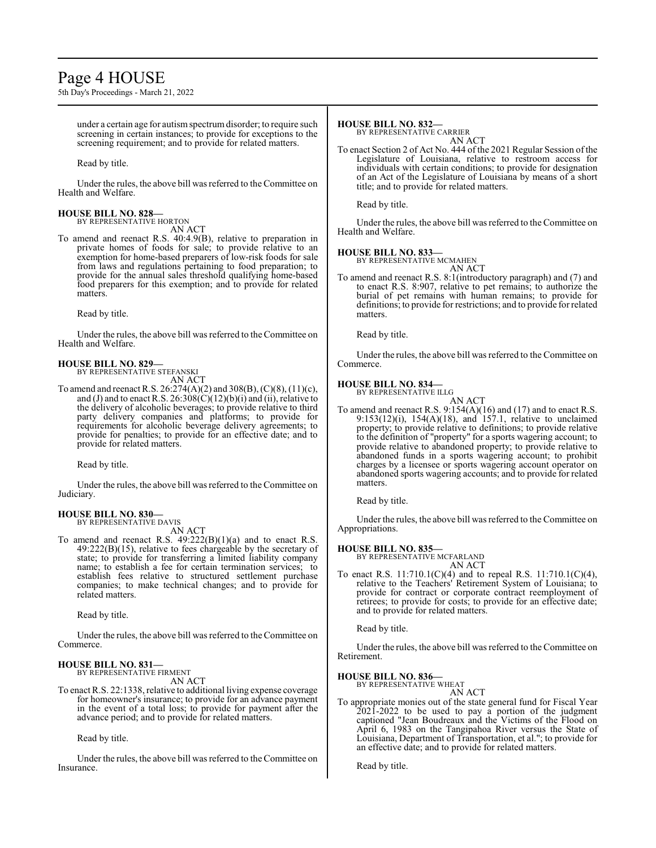# Page 4 HOUSE

5th Day's Proceedings - March 21, 2022

under a certain age for autismspectrumdisorder; to require such screening in certain instances; to provide for exceptions to the screening requirement; and to provide for related matters.

Read by title.

Under the rules, the above bill was referred to the Committee on Health and Welfare.

#### **HOUSE BILL NO. 828—** BY REPRESENTATIVE HORTON

AN ACT To amend and reenact R.S. 40:4.9(B), relative to preparation in private homes of foods for sale; to provide relative to an exemption for home-based preparers of low-risk foods for sale from laws and regulations pertaining to food preparation; to provide for the annual sales threshold qualifying home-based food preparers for this exemption; and to provide for related matters.

Read by title.

Under the rules, the above bill was referred to the Committee on Health and Welfare.

#### **HOUSE BILL NO. 829—** BY REPRESENTATIVE STEFANSKI

AN ACT

To amend and reenact R.S. 26:274(A)(2) and 308(B), (C)(8), (11)(c), and (J) and to enact R.S.  $26:308(\tilde{C})(12)(b)(i)$  and (ii), relative to the delivery of alcoholic beverages; to provide relative to third party delivery companies and platforms; to provide for requirements for alcoholic beverage delivery agreements; to provide for penalties; to provide for an effective date; and to provide for related matters.

Read by title.

Under the rules, the above bill was referred to the Committee on Judiciary.

#### **HOUSE BILL NO. 830—**

BY REPRESENTATIVE DAVIS

- AN ACT
- To amend and reenact R.S. 49:222(B)(1)(a) and to enact R.S. 49:222(B)(15), relative to fees chargeable by the secretary of state; to provide for transferring a limited liability company name; to establish a fee for certain termination services; to establish fees relative to structured settlement purchase companies; to make technical changes; and to provide for related matters.

Read by title.

Under the rules, the above bill was referred to theCommittee on Commerce.

#### **HOUSE BILL NO. 831—** BY REPRESENTATIVE FIRMENT

AN ACT

To enact R.S. 22:1338, relative to additional living expense coverage for homeowner's insurance; to provide for an advance payment in the event of a total loss; to provide for payment after the advance period; and to provide for related matters.

Read by title.

Under the rules, the above bill was referred to the Committee on Insurance.

# **HOUSE BILL NO. 832—**

BY REPRESENTATIVE CARRIER AN ACT

To enact Section 2 of Act No. 444 of the 2021 Regular Session of the Legislature of Louisiana, relative to restroom access for individuals with certain conditions; to provide for designation of an Act of the Legislature of Louisiana by means of a short title; and to provide for related matters.

Read by title.

Under the rules, the above bill was referred to the Committee on Health and Welfare.

#### **HOUSE BILL NO. 833—**

BY REPRESENTATIVE MCMAHEN

AN ACT To amend and reenact R.S. 8:1(introductory paragraph) and (7) and to enact R.S. 8:907, relative to pet remains; to authorize the burial of pet remains with human remains; to provide for definitions; to provide for restrictions; and to provide for related matters.

Read by title.

Under the rules, the above bill was referred to the Committee on Commerce.

### **HOUSE BILL NO. 834—**

BY REPRESENTATIVE ILLG AN ACT

To amend and reenact R.S. 9:154(A)(16) and (17) and to enact R.S. 9:153(12)(i), 154(A)(18), and 157.1, relative to unclaimed property; to provide relative to definitions; to provide relative to the definition of "property" for a sports wagering account; to provide relative to abandoned property; to provide relative to abandoned funds in a sports wagering account; to prohibit charges by a licensee or sports wagering account operator on abandoned sports wagering accounts; and to provide for related matters.

Read by title.

Under the rules, the above bill was referred to the Committee on Appropriations.

**HOUSE BILL NO. 835—** BY REPRESENTATIVE MCFARLAND AN ACT

To enact R.S. 11:710.1(C)(4) and to repeal R.S. 11:710.1(C)(4), relative to the Teachers' Retirement System of Louisiana; to provide for contract or corporate contract reemployment of retirees; to provide for costs; to provide for an effective date; and to provide for related matters.

Read by title.

Under the rules, the above bill was referred to the Committee on Retirement.

**HOUSE BILL NO. 836—**

BY REPRESENTATIVE WHEAT AN ACT

To appropriate monies out of the state general fund for Fiscal Year 2021-2022 to be used to pay a portion of the judgment captioned "Jean Boudreaux and the Victims of the Flood on April 6, 1983 on the Tangipahoa River versus the State of Louisiana, Department of Transportation, et al."; to provide for an effective date; and to provide for related matters.

Read by title.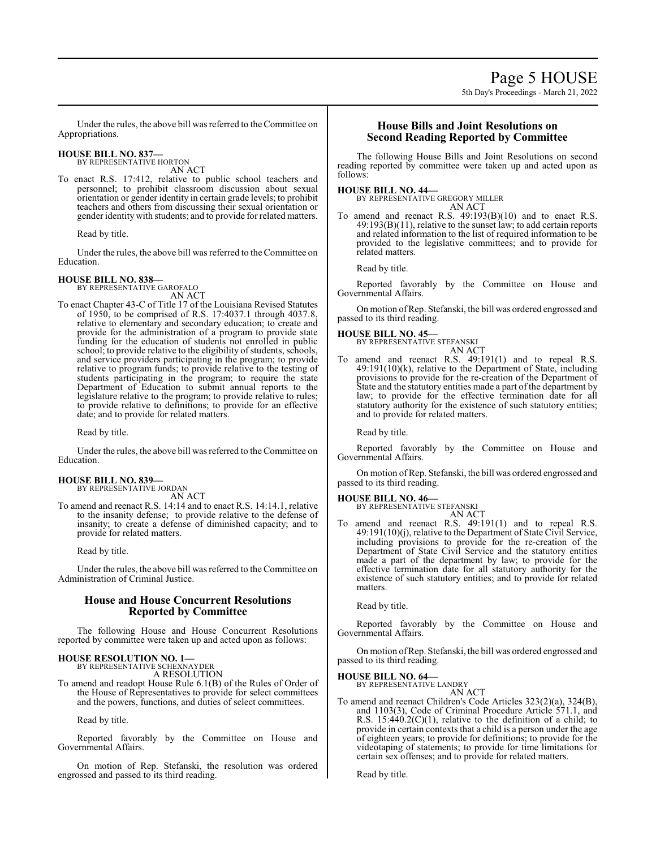Under the rules, the above bill was referred to the Committee on Appropriations.

# **HOUSE BILL NO. 837—** BY REPRESENTATIVE HORTON

AN ACT

To enact R.S. 17:412, relative to public school teachers and personnel; to prohibit classroom discussion about sexual orientation or gender identity in certain grade levels; to prohibit teachers and others from discussing their sexual orientation or gender identity with students; and to provide for related matters.

Read by title.

Under the rules, the above bill was referred to theCommittee on Education.

#### **HOUSE BILL NO. 838—**

BY REPRESENTATIVE GAROFALO AN ACT

To enact Chapter 43-C of Title 17 of the Louisiana Revised Statutes of 1950, to be comprised of R.S. 17:4037.1 through 4037.8, relative to elementary and secondary education; to create and provide for the administration of a program to provide state funding for the education of students not enrolled in public school; to provide relative to the eligibility of students, schools, and service providers participating in the program; to provide relative to program funds; to provide relative to the testing of students participating in the program; to require the state Department of Education to submit annual reports to the legislature relative to the program; to provide relative to rules; to provide relative to definitions; to provide for an effective date; and to provide for related matters.

Read by title.

Under the rules, the above bill was referred to the Committee on Education.

#### **HOUSE BILL NO. 839—**

BY REPRESENTATIVE JORDAN

- AN ACT
- To amend and reenact R.S. 14:14 and to enact R.S. 14:14.1, relative to the insanity defense; to provide relative to the defense of insanity; to create a defense of diminished capacity; and to provide for related matters.

Read by title.

Under the rules, the above bill was referred to the Committee on Administration of Criminal Justice.

# **House and House Concurrent Resolutions Reported by Committee**

The following House and House Concurrent Resolutions reported by committee were taken up and acted upon as follows:

# **HOUSE RESOLUTION NO. 1—** BY REPRESENTATIVE SCHEXNAYDER

A RESOLUTION

To amend and readopt House Rule 6.1(B) of the Rules of Order of the House of Representatives to provide for select committees and the powers, functions, and duties of select committees.

Read by title.

Reported favorably by the Committee on House and Governmental Affairs.

On motion of Rep. Stefanski, the resolution was ordered engrossed and passed to its third reading.

## **House Bills and Joint Resolutions on Second Reading Reported by Committee**

The following House Bills and Joint Resolutions on second reading reported by committee were taken up and acted upon as follows:

**HOUSE BILL NO. 44—** BY REPRESENTATIVE GREGORY MILLER AN ACT

To amend and reenact R.S. 49:193(B)(10) and to enact R.S. 49:193(B)(11), relative to the sunset law; to add certain reports and related information to the list of required information to be provided to the legislative committees; and to provide for related matters.

Read by title.

Reported favorably by the Committee on House and Governmental Affairs.

On motion of Rep. Stefanski, the bill was ordered engrossed and passed to its third reading.

# **HOUSE BILL NO. 45—**

BY REPRESENTATIVE STEFANSKI AN ACT

To amend and reenact R.S. 49:191(1) and to repeal R.S. 49:191(10)(k), relative to the Department of State, including provisions to provide for the re-creation of the Department of State and the statutory entities made a part of the department by law; to provide for the effective termination date for all statutory authority for the existence of such statutory entities; and to provide for related matters.

Read by title.

Reported favorably by the Committee on House and Governmental Affairs.

On motion of Rep. Stefanski, the bill was ordered engrossed and passed to its third reading.

#### **HOUSE BILL NO. 46—**

BY REPRESENTATIVE STEFANSKI

AN ACT To amend and reenact R.S. 49:191(1) and to repeal R.S. 49:191(10)(j), relative to the Department of State Civil Service, including provisions to provide for the re-creation of the Department of State Civil Service and the statutory entities made a part of the department by law; to provide for the effective termination date for all statutory authority for the existence of such statutory entities; and to provide for related matters.

Read by title.

Reported favorably by the Committee on House and Governmental Affairs.

On motion ofRep. Stefanski, the bill was ordered engrossed and passed to its third reading.

**HOUSE BILL NO. 64—**

BY REPRESENTATIVE LANDRY AN ACT

To amend and reenact Children's Code Articles 323(2)(a), 324(B), and 1103(3), Code of Criminal Procedure Article 571.1, and R.S.  $15:440.2(C)(1)$ , relative to the definition of a child; to provide in certain contexts that a child is a person under the age of eighteen years; to provide for definitions; to provide for the videotaping of statements; to provide for time limitations for certain sex offenses; and to provide for related matters.

Read by title.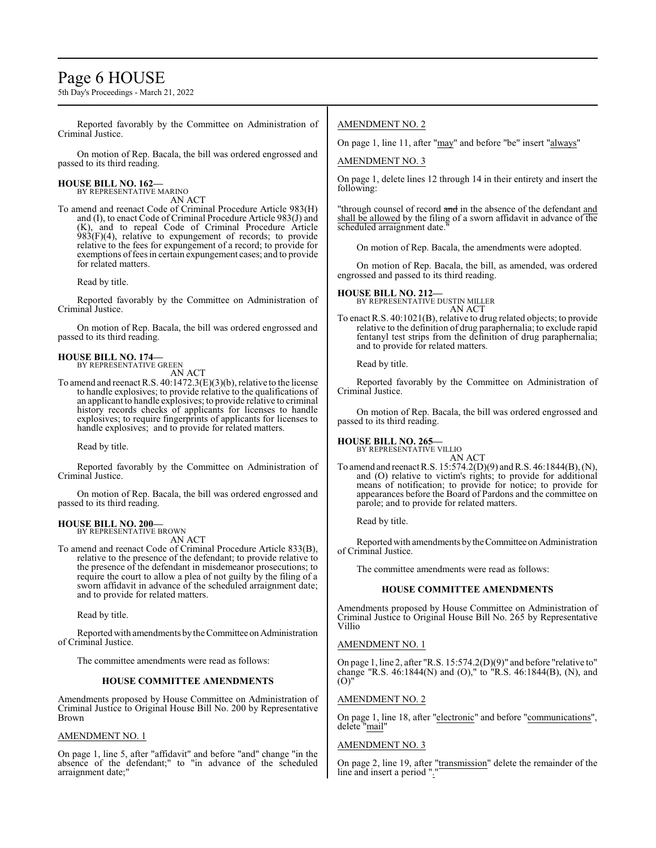# Page 6 HOUSE

5th Day's Proceedings - March 21, 2022

Reported favorably by the Committee on Administration of Criminal Justice.

On motion of Rep. Bacala, the bill was ordered engrossed and passed to its third reading.

#### **HOUSE BILL NO. 162—** BY REPRESENTATIVE MARINO

AN ACT

To amend and reenact Code of Criminal Procedure Article 983(H) and (I), to enact Code of Criminal Procedure Article 983(J) and (K), and to repeal Code of Criminal Procedure Article  $983(F)(4)$ , relative to expungement of records; to provide relative to the fees for expungement of a record; to provide for exemptions of fees in certain expungement cases; and to provide for related matters.

Read by title.

Reported favorably by the Committee on Administration of Criminal Justice.

On motion of Rep. Bacala, the bill was ordered engrossed and passed to its third reading.

# **HOUSE BILL NO. 174—** BY REPRESENTATIVE GREEN

AN ACT

To amend and reenact R.S. 40:1472.3(E)(3)(b), relative to the license to handle explosives; to provide relative to the qualifications of an applicant to handle explosives; to provide relative to criminal history records checks of applicants for licenses to handle explosives; to require fingerprints of applicants for licenses to handle explosives; and to provide for related matters.

Read by title.

Reported favorably by the Committee on Administration of Criminal Justice.

On motion of Rep. Bacala, the bill was ordered engrossed and passed to its third reading.

#### **HOUSE BILL NO. 200—** BY REPRESENTATIVE BROWN

AN ACT

To amend and reenact Code of Criminal Procedure Article 833(B), relative to the presence of the defendant; to provide relative to the presence of the defendant in misdemeanor prosecutions; to require the court to allow a plea of not guilty by the filing of a sworn affidavit in advance of the scheduled arraignment date; and to provide for related matters.

Read by title.

Reported with amendments by the Committee on Administration of Criminal Justice.

The committee amendments were read as follows:

#### **HOUSE COMMITTEE AMENDMENTS**

Amendments proposed by House Committee on Administration of Criminal Justice to Original House Bill No. 200 by Representative Brown

#### AMENDMENT NO. 1

On page 1, line 5, after "affidavit" and before "and" change "in the absence of the defendant;" to "in advance of the scheduled arraignment date;"

### AMENDMENT NO. 2

On page 1, line 11, after "may" and before "be" insert "always"

AMENDMENT NO. 3

On page 1, delete lines 12 through 14 in their entirety and insert the following:

"through counsel of record and in the absence of the defendant and shall be allowed by the filing of a sworn affidavit in advance of the scheduled arraignment date."

On motion of Rep. Bacala, the amendments were adopted.

On motion of Rep. Bacala, the bill, as amended, was ordered engrossed and passed to its third reading.

**HOUSE BILL NO. 212—** BY REPRESENTATIVE DUSTIN MILLER

AN ACT

To enact R.S. 40:1021(B), relative to drug related objects; to provide relative to the definition of drug paraphernalia; to exclude rapid fentanyl test strips from the definition of drug paraphernalia; and to provide for related matters.

Read by title.

Reported favorably by the Committee on Administration of Criminal Justice.

On motion of Rep. Bacala, the bill was ordered engrossed and passed to its third reading.

**HOUSE BILL NO. 265—** BY REPRESENTATIVE VILLIO

AN ACT To amend and reenact R.S. 15:574.2(D)(9) and R.S. 46:1844(B), (N), and (O) relative to victim's rights; to provide for additional means of notification; to provide for notice; to provide for appearances before the Board of Pardons and the committee on

Read by title.

Reported with amendments bytheCommittee on Administration of Criminal Justice.

The committee amendments were read as follows:

parole; and to provide for related matters.

#### **HOUSE COMMITTEE AMENDMENTS**

Amendments proposed by House Committee on Administration of Criminal Justice to Original House Bill No. 265 by Representative Villio

#### AMENDMENT NO. 1

On page 1, line 2, after "R.S. 15:574.2(D)(9)" and before "relative to" change "R.S. 46:1844(N) and (O)," to "R.S. 46:1844(B), (N), and  $(0)'$ 

#### AMENDMENT NO. 2

On page 1, line 18, after "electronic" and before "communications", delete "mail"

#### AMENDMENT NO. 3

On page 2, line 19, after "transmission" delete the remainder of the line and insert a period "."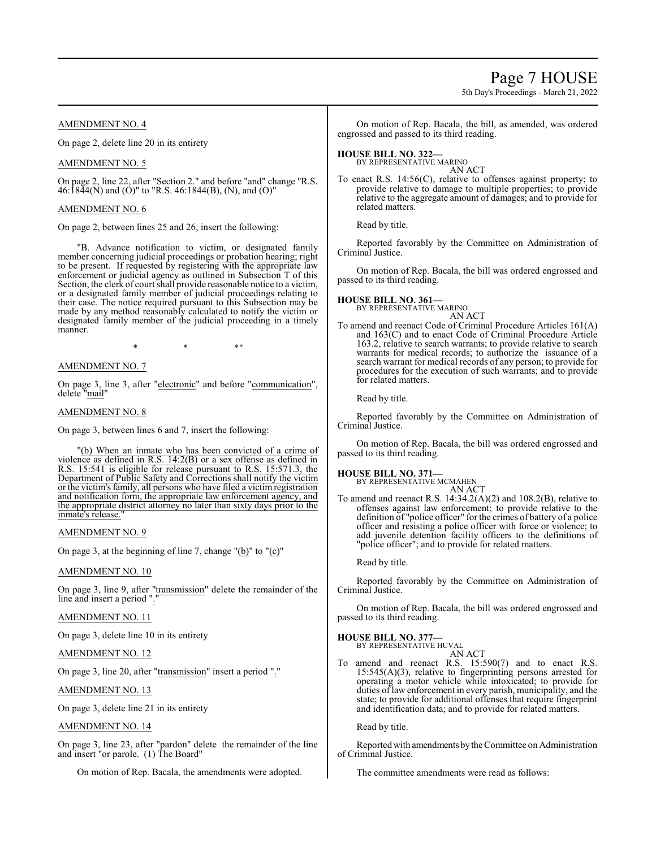# Page 7 HOUSE

5th Day's Proceedings - March 21, 2022

#### AMENDMENT NO. 4

On page 2, delete line 20 in its entirety

#### AMENDMENT NO. 5

On page 2, line 22, after "Section 2." and before "and" change "R.S. 46:1844(N) and (O)" to "R.S. 46:1844(B), (N), and (O)"

#### AMENDMENT NO. 6

On page 2, between lines 25 and 26, insert the following:

"B. Advance notification to victim, or designated family member concerning judicial proceedings or probation hearing; right to be present. If requested by registering with the appropriate law enforcement or judicial agency as outlined in Subsection T of this Section, the clerk of court shall provide reasonable notice to a victim, or a designated family member of judicial proceedings relating to their case. The notice required pursuant to this Subsection may be made by any method reasonably calculated to notify the victim or designated family member of the judicial proceeding in a timely manner.

 $*$  \*  $*$  \*

#### AMENDMENT NO. 7

On page 3, line 3, after "electronic" and before "communication", delete "<u>mail</u>"

#### AMENDMENT NO. 8

On page 3, between lines 6 and 7, insert the following:

"(b) When an inmate who has been convicted of a crime of violence as defined in R.S. 14:2(B) or a sex offense as defined in R.S. 15:541 is eligible for release pursuant to R.S. 15:571.3, the Department of Public Safety and Corrections shall notify the victim or the victim's family, all persons who have filed a victim registration and notification form, the appropriate law enforcement agency, and the appropriate district attorney no later than sixty days prior to the inmate's release.

# AMENDMENT NO. 9

On page 3, at the beginning of line 7, change "(b)" to "(c)"

#### AMENDMENT NO. 10

On page 3, line 9, after "transmission" delete the remainder of the line and insert a period ".

# AMENDMENT NO. 11

On page 3, delete line 10 in its entirety

#### AMENDMENT NO. 12

On page 3, line 20, after "transmission" insert a period "."

#### AMENDMENT NO. 13

On page 3, delete line 21 in its entirety

#### AMENDMENT NO. 14

On page 3, line 23, after "pardon" delete the remainder of the line and insert "or parole. (1) The Board"

On motion of Rep. Bacala, the amendments were adopted.

On motion of Rep. Bacala, the bill, as amended, was ordered engrossed and passed to its third reading.

# **HOUSE BILL NO. 322—** BY REPRESENTATIVE MARINO

AN ACT

To enact R.S. 14:56(C), relative to offenses against property; to provide relative to damage to multiple properties; to provide relative to the aggregate amount of damages; and to provide for related matters.

Read by title.

Reported favorably by the Committee on Administration of Criminal Justice.

On motion of Rep. Bacala, the bill was ordered engrossed and passed to its third reading.

#### **HOUSE BILL NO. 361—** BY REPRESENTATIVE MARINO

AN ACT

To amend and reenact Code of Criminal Procedure Articles 161(A) and 163(C) and to enact Code of Criminal Procedure Article 163.2, relative to search warrants; to provide relative to search warrants for medical records; to authorize the issuance of a search warrant for medical records of any person; to provide for procedures for the execution of such warrants; and to provide for related matters.

Read by title.

Reported favorably by the Committee on Administration of Criminal Justice.

On motion of Rep. Bacala, the bill was ordered engrossed and passed to its third reading.

#### **HOUSE BILL NO. 371—**

BY REPRESENTATIVE MCMAHEN AN ACT

To amend and reenact R.S. 14:34.2(A)(2) and 108.2(B), relative to offenses against law enforcement; to provide relative to the definition of "police officer" for the crimes of battery of a police officer and resisting a police officer with force or violence; to add juvenile detention facility officers to the definitions of "police officer"; and to provide for related matters.

Read by title.

Reported favorably by the Committee on Administration of Criminal Justice.

On motion of Rep. Bacala, the bill was ordered engrossed and passed to its third reading.

#### **HOUSE BILL NO. 377—**

BY REPRESENTATIVE HUVAL AN ACT

To amend and reenact R.S. 15:590(7) and to enact R.S. 15:545(A)(3), relative to fingerprinting persons arrested for operating a motor vehicle while intoxicated; to provide for duties of law enforcement in every parish, municipality, and the state; to provide for additional offenses that require fingerprint and identification data; and to provide for related matters.

Read by title.

Reported with amendments bythe Committee on Administration of Criminal Justice.

The committee amendments were read as follows: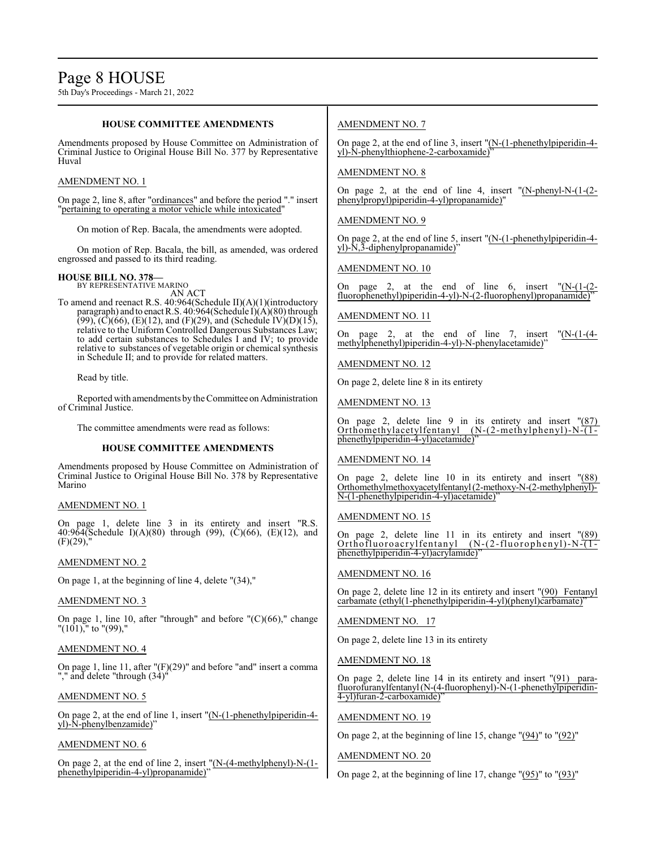#### **HOUSE COMMITTEE AMENDMENTS**

Amendments proposed by House Committee on Administration of Criminal Justice to Original House Bill No. 377 by Representative Huval

#### AMENDMENT NO. 1

On page 2, line 8, after "ordinances" and before the period "." insert "pertaining to operating a motor vehicle while intoxicated"

On motion of Rep. Bacala, the amendments were adopted.

On motion of Rep. Bacala, the bill, as amended, was ordered engrossed and passed to its third reading.

#### **HOUSE BILL NO. 378—** BY REPRESENTATIVE MARINO

AN ACT

To amend and reenact R.S. 40:964(Schedule II)(A)(1)(introductory paragraph) and to enact R.S. 40:964(Schedule I)(A)(80) through  $(99)$ ,  $(C)(66)$ ,  $(E)(12)$ , and  $(F)(29)$ , and  $(Schedule IV)(D)(15)$ , relative to the Uniform Controlled Dangerous Substances Law; to add certain substances to Schedules I and IV; to provide relative to substances of vegetable origin or chemical synthesis in Schedule II; and to provide for related matters.

#### Read by title.

Reported with amendments by the Committee on Administration of Criminal Justice.

The committee amendments were read as follows:

#### **HOUSE COMMITTEE AMENDMENTS**

Amendments proposed by House Committee on Administration of Criminal Justice to Original House Bill No. 378 by Representative Marino

#### AMENDMENT NO. 1

On page 1, delete line 3 in its entirety and insert "R.S. 40:964(Schedule I)(A)(80) through (99), (C)(66), (E)(12), and  $(F)(29)$ ,"

#### AMENDMENT NO. 2

On page 1, at the beginning of line 4, delete "(34),"

#### AMENDMENT NO. 3

On page 1, line 10, after "through" and before "(C)(66)," change  $"(101),"$  to  $"(99),"$ 

#### AMENDMENT NO. 4

On page 1, line 11, after "(F)(29)" and before "and" insert a comma "," and delete "through (34)"

#### AMENDMENT NO. 5

On page 2, at the end of line 1, insert "(N-(1-phenethylpiperidin-4 yl)-N-phenylbenzamide)"

#### AMENDMENT NO. 6

On page 2, at the end of line 2, insert "(N-(4-methylphenyl)-N-(1 phenethylpiperidin-4-yl)propanamide)"

### AMENDMENT NO. 7

On page 2, at the end of line 3, insert "(N-(1-phenethylpiperidin-4 yl)-N-phenylthiophene-2-carboxamide)"

#### AMENDMENT NO. 8

On page 2, at the end of line 4, insert "(N-phenyl-N-(1-(2 phenylpropyl)piperidin-4-yl)propanamide)"

#### AMENDMENT NO. 9

On page 2, at the end of line 5, insert "(N-(1-phenethylpiperidin-4 yl)-N,3-diphenylpropanamide)"

### AMENDMENT NO. 10

On page 2, at the end of line 6, insert  $\sqrt{\text{N}-(1-(2-\epsilon))}$ fluorophenethyl)piperidin-4-yl)-N-(2-fluorophenyl)propanamide)

#### AMENDMENT NO. 11

On page 2, at the end of line 7, insert "(N-(1-(4 methylphenethyl)piperidin-4-yl)-N-phenylacetamide)'

#### AMENDMENT NO. 12

On page 2, delete line 8 in its entirety

AMENDMENT NO. 13

On page 2, delete line 9 in its entirety and insert "(87) Orthomethylacetylfentanyl (N-(2-methylphenyl)-N-(1 phenethylpiperidin-4-yl)acetamide)"

#### AMENDMENT NO. 14

On page 2, delete line 10 in its entirety and insert "(88) Orthomethylmethoxyacetylfentanyl(2-methoxy-N-(2-methylphenyl)- N-(1-phenethylpiperidin-4-yl)acetamide)

#### AMENDMENT NO. 15

On page 2, delete line 11 in its entirety and insert "(89) Orthofluoroacrylfentanyl (N-(2-fluorophenyl)-N-(1phenethylpiperidin-4-yl)acrylamide)'

#### AMENDMENT NO. 16

On page 2, delete line 12 in its entirety and insert "(90) Fentanyl carbamate (ethyl(1-phenethylpiperidin-4-yl)(phenyl)carbamate)'

#### AMENDMENT NO. 17

On page 2, delete line 13 in its entirety

#### AMENDMENT NO. 18

On page 2, delete line 14 in its entirety and insert "(91) parafluorofuranylfentanyl(N-(4-fluorophenyl)-N-(1-phenethylpiperidin-4-yl)furan-2-carboxamide)"

#### AMENDMENT NO. 19

On page 2, at the beginning of line 15, change " $(94)$ " to " $(92)$ "

#### AMENDMENT NO. 20

On page 2, at the beginning of line 17, change "(95)" to "(93)"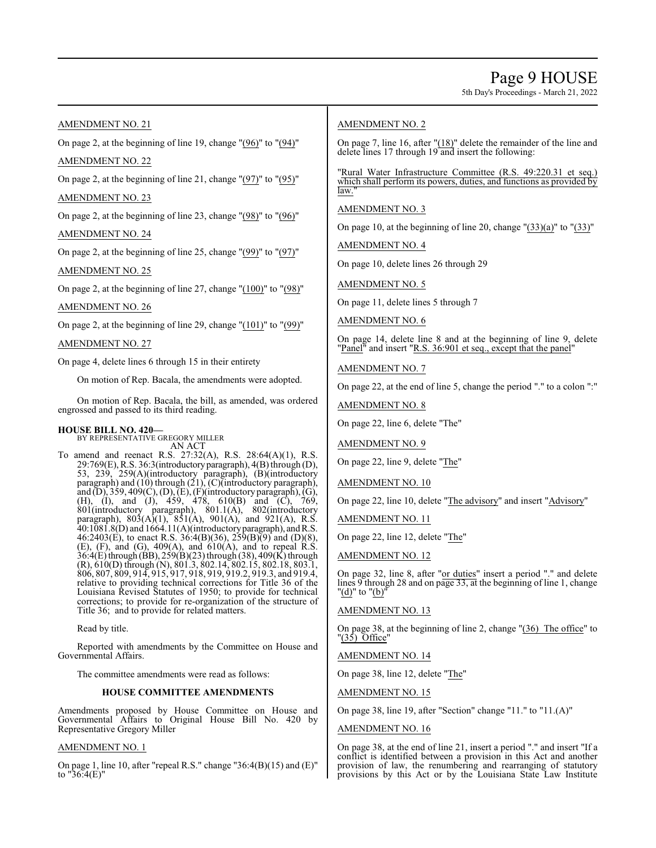5th Day's Proceedings - March 21, 2022

# AMENDMENT NO. 21

On page 2, at the beginning of line 19, change "(96)" to "(94)" AMENDMENT NO. 22

On page 2, at the beginning of line 21, change "(97)" to "(95)"

### AMENDMENT NO. 23

On page 2, at the beginning of line 23, change " $(98)$ " to " $(96)$ " AMENDMENT NO. 24

On page 2, at the beginning of line 25, change "(99)" to "(97)"

### AMENDMENT NO. 25

On page 2, at the beginning of line 27, change " $(100)$ " to " $(98)$ "

#### AMENDMENT NO. 26

On page 2, at the beginning of line 29, change "(101)" to "(99)"

### AMENDMENT NO. 27

On page 4, delete lines 6 through 15 in their entirety

On motion of Rep. Bacala, the amendments were adopted.

On motion of Rep. Bacala, the bill, as amended, was ordered engrossed and passed to its third reading.

# **HOUSE BILL NO. 420—**

BY REPRESENTATIVE GREGORY MILLER AN ACT

To amend and reenact R.S. 27:32(A), R.S. 28:64(A)(1), R.S. 29:769(E), R.S. 36:3(introductoryparagraph), 4(B) through (D), 53, 239, 259(A)(introductory paragraph), (B)(introductory paragraph) and (10) through (21), (C)(introductory paragraph), and (D), 359, 409(C), (D), (E), (F)(introductory paragraph), (G), (H), (I), and (J), 459, 478, 610(B) and (C), 769, 801(introductory paragraph), 801.1(A), 802(introductory paragraph),  $803(A)(1)$ ,  $851(A)$ ,  $901(A)$ , and  $921(A)$ , R.S. 40:1081.8(D) and 1664.11(A)(introductoryparagraph), andR.S. 46:2403(E), to enact R.S. 36:4(B)(36), 259(B)(9) and (D)(8),  $(E)$ ,  $(F)$ , and  $(G)$ ,  $409(A)$ , and  $610(A)$ , and to repeal R.S. 36:4(E) through (BB), 259(B)(23) through (38), 409(K) through (R), 610(D) through (N), 801.3, 802.14, 802.15, 802.18, 803.1, 806, 807, 809, 914, 915, 917, 918, 919, 919.2, 919.3, and 919.4, relative to providing technical corrections for Title 36 of the Louisiana Revised Statutes of 1950; to provide for technical corrections; to provide for re-organization of the structure of Title 36; and to provide for related matters.

Read by title.

Reported with amendments by the Committee on House and Governmental Affairs.

The committee amendments were read as follows:

#### **HOUSE COMMITTEE AMENDMENTS**

Amendments proposed by House Committee on House and Governmental Affairs to Original House Bill No. 420 by Representative Gregory Miller

#### AMENDMENT NO. 1

On page 1, line 10, after "repeal R.S." change "36:4(B)(15) and (E)" to  $"36:4(E)"$ 

### AMENDMENT NO. 2

On page 7, line 16, after "(18)" delete the remainder of the line and delete lines 17 through 19 and insert the following:

"Rural Water Infrastructure Committee (R.S. 49:220.31 et seq.) which shall perform its powers, duties, and functions as provided by law.

### AMENDMENT NO. 3

On page 10, at the beginning of line 20, change "(33)(a)" to "(33)"

AMENDMENT NO. 4

On page 10, delete lines 26 through 29

AMENDMENT NO. 5

On page 11, delete lines 5 through 7

AMENDMENT NO. 6

On page 14, delete line 8 and at the beginning of line 9, delete "Panel" and insert "R.S. 36:901 et seq., except that the panel"

#### AMENDMENT NO. 7

On page 22, at the end of line 5, change the period "." to a colon ":"

AMENDMENT NO. 8

On page 22, line 6, delete "The"

AMENDMENT NO. 9

On page 22, line 9, delete "The"

AMENDMENT NO. 10

On page 22, line 10, delete "The advisory" and insert "Advisory"

AMENDMENT NO. 11

On page 22, line 12, delete "The"

AMENDMENT NO. 12

On page 32, line 8, after "or duties" insert a period "." and delete lines 9 through 28 and on page 33, at the beginning of line 1, change "(d)" to "(b)"

#### AMENDMENT NO. 13

On page 38, at the beginning of line 2, change "(36) The office" to "(35) Office"

AMENDMENT NO. 14

On page 38, line 12, delete "The"

AMENDMENT NO. 15

On page 38, line 19, after "Section" change "11." to "11.(A)"

### AMENDMENT NO. 16

On page 38, at the end of line 21, insert a period "." and insert "If a conflict is identified between a provision in this Act and another provision of law, the renumbering and rearranging of statutory provisions by this Act or by the Louisiana State Law Institute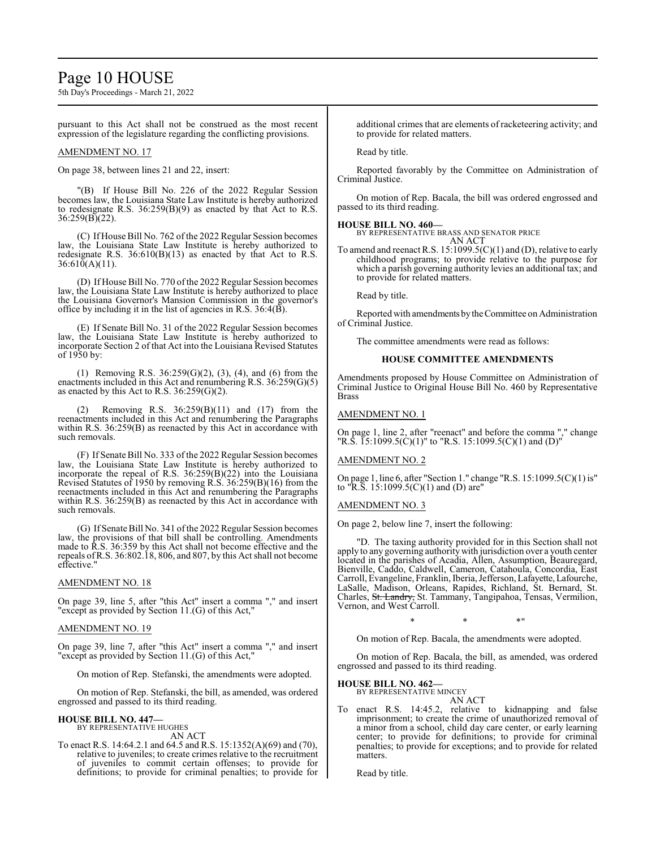# Page 10 HOUSE

5th Day's Proceedings - March 21, 2022

pursuant to this Act shall not be construed as the most recent expression of the legislature regarding the conflicting provisions.

#### AMENDMENT NO. 17

On page 38, between lines 21 and 22, insert:

"(B) If House Bill No. 226 of the 2022 Regular Session becomes law, the Louisiana State Law Institute is hereby authorized to redesignate R.S. 36:259(B)(9) as enacted by that Act to R.S. 36:259(B)(22).

(C) If House Bill No. 762 of the 2022 Regular Session becomes law, the Louisiana State Law Institute is hereby authorized to redesignate R.S. 36:610(B)(13) as enacted by that Act to R.S.  $36:610(A)(11)$ .

(D) If House Bill No. 770 ofthe 2022 Regular Session becomes law, the Louisiana State Law Institute is hereby authorized to place the Louisiana Governor's Mansion Commission in the governor's office by including it in the list of agencies in R.S. 36:4(B).

(E) If Senate Bill No. 31 of the 2022 Regular Session becomes law, the Louisiana State Law Institute is hereby authorized to incorporate Section 2 of that Act into the Louisiana Revised Statutes of 1950 by:

(1) Removing R.S. 36:259(G)(2), (3), (4), and (6) from the enactments included in this Act and renumbering R.S. 36:259(G)(5) as enacted by this Act to R.S.  $36:259(G)(2)$ .

(2) Removing R.S. 36:259(B)(11) and (17) from the reenactments included in this Act and renumbering the Paragraphs within R.S. 36:259(B) as reenacted by this Act in accordance with such removals.

(F) If Senate Bill No. 333 of the 2022 Regular Session becomes law, the Louisiana State Law Institute is hereby authorized to incorporate the repeal of R.S. 36:259(B)(22) into the Louisiana Revised Statutes of 1950 by removing R.S. 36:259(B)(16) from the reenactments included in this Act and renumbering the Paragraphs within R.S. 36:259(B) as reenacted by this Act in accordance with such removals.

(G) If Senate Bill No. 341 ofthe 2022 Regular Session becomes law, the provisions of that bill shall be controlling. Amendments made to R.S. 36:359 by this Act shall not become effective and the repeals ofR.S. 36:802.18, 806, and 807, by this Act shall not become effective."

#### AMENDMENT NO. 18

On page 39, line 5, after "this Act" insert a comma "," and insert "except as provided by Section 11.(G) of this Act,"

#### AMENDMENT NO. 19

On page 39, line 7, after "this Act" insert a comma "," and insert "except as provided by Section 11.(G) of this Act,"

On motion of Rep. Stefanski, the amendments were adopted.

On motion of Rep. Stefanski, the bill, as amended, was ordered engrossed and passed to its third reading.

#### **HOUSE BILL NO. 447—** BY REPRESENTATIVE HUGHES

AN ACT

To enact R.S. 14:64.2.1 and 64.5 and R.S. 15:1352(A)(69) and (70), relative to juveniles; to create crimes relative to the recruitment of juveniles to commit certain offenses; to provide for definitions; to provide for criminal penalties; to provide for additional crimes that are elements of racketeering activity; and to provide for related matters.

Read by title.

Reported favorably by the Committee on Administration of Criminal Justice.

On motion of Rep. Bacala, the bill was ordered engrossed and passed to its third reading.

#### **HOUSE BILL NO. 460—**

BY REPRESENTATIVE BRASS AND SENATOR PRICE AN ACT

To amend and reenact R.S. 15:1099.5(C)(1) and (D), relative to early childhood programs; to provide relative to the purpose for which a parish governing authority levies an additional tax; and to provide for related matters.

Read by title.

Reported with amendments by the Committee on Administration of Criminal Justice.

The committee amendments were read as follows:

#### **HOUSE COMMITTEE AMENDMENTS**

Amendments proposed by House Committee on Administration of Criminal Justice to Original House Bill No. 460 by Representative Brass

#### AMENDMENT NO. 1

On page 1, line 2, after "reenact" and before the comma "," change "R.S. 15:1099.5(C)(1)" to "R.S. 15:1099.5(C)(1) and (D)"

#### AMENDMENT NO. 2

On page 1, line 6, after "Section 1." change "R.S. 15:1099.5(C)(1) is" to "R.S.  $15:1099.5(C)(1)$  and (D) are"

#### AMENDMENT NO. 3

On page 2, below line 7, insert the following:

"D. The taxing authority provided for in this Section shall not apply to any governing authority with jurisdiction over a youth center located in the parishes of Acadia, Allen, Assumption, Beauregard, Bienville, Caddo, Caldwell, Cameron, Catahoula, Concordia, East Carroll, Evangeline, Franklin, Iberia, Jefferson, Lafayette,Lafourche, LaSalle, Madison, Orleans, Rapides, Richland, St. Bernard, St. Charles, St. Landry, St. Tammany, Tangipahoa, Tensas, Vermilion, Vernon, and West Carroll.

\* \* \*"

On motion of Rep. Bacala, the amendments were adopted.

On motion of Rep. Bacala, the bill, as amended, was ordered engrossed and passed to its third reading.

#### **HOUSE BILL NO. 462—**

BY REPRESENTATIVE MINCEY AN ACT

To enact R.S. 14:45.2, relative to kidnapping and false imprisonment; to create the crime of unauthorized removal of a minor from a school, child day care center, or early learning center; to provide for definitions; to provide for criminal penalties; to provide for exceptions; and to provide for related matters.

Read by title.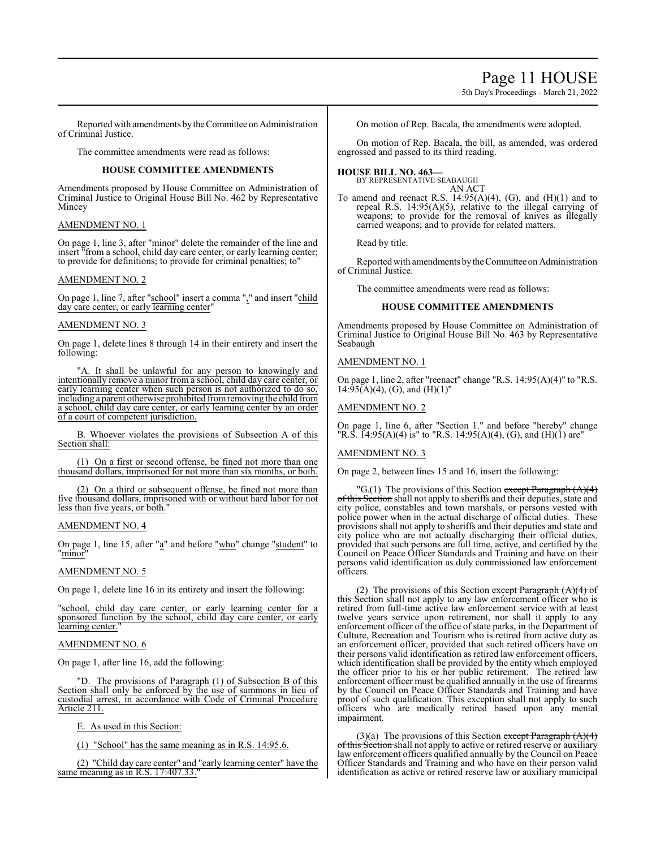# Page 11 HOUSE

5th Day's Proceedings - March 21, 2022

Reported with amendments by the Committee on Administration of Criminal Justice.

The committee amendments were read as follows:

### **HOUSE COMMITTEE AMENDMENTS**

Amendments proposed by House Committee on Administration of Criminal Justice to Original House Bill No. 462 by Representative Mincey

#### AMENDMENT NO. 1

On page 1, line 3, after "minor" delete the remainder of the line and insert "from a school, child day care center, or early learning center; to provide for definitions; to provide for criminal penalties; to"

#### AMENDMENT NO. 2

On page 1, line 7, after "school" insert a comma "," and insert "child day care center, or early learning center"

#### AMENDMENT NO. 3

On page 1, delete lines 8 through 14 in their entirety and insert the following:

"A. It shall be unlawful for any person to knowingly and intentionally remove a minor from a school, child day care center, or early learning center when such person is not authorized to do so, including a parent otherwise prohibited fromremoving the child from a school, child day care center, or early learning center by an order of a court of competent jurisdiction.

B. Whoever violates the provisions of Subsection A of this Section shall:

(1) On a first or second offense, be fined not more than one thousand dollars, imprisoned for not more than six months, or both.

(2) On a third or subsequent offense, be fined not more than five thousand dollars, imprisoned with or without hard labor for not less than five years, or both."

#### AMENDMENT NO. 4

On page 1, line 15, after "a" and before "who" change "student" to 'minor

#### AMENDMENT NO. 5

On page 1, delete line 16 in its entirety and insert the following:

"school, child day care center, or early learning center for a sponsored function by the school, child day care center, or early learning center.

### AMENDMENT NO. 6

On page 1, after line 16, add the following:

The provisions of Paragraph (1) of Subsection B of this Section shall only be enforced by the use of summons in lieu of custodial arrest, in accordance with Code of Criminal Procedure Article 211.

E. As used in this Section:

(1) "School" has the same meaning as in R.S. 14:95.6.

(2) "Child day care center" and "early learning center" have the same meaning as in R.S.  $17:407.33$ .

On motion of Rep. Bacala, the amendments were adopted.

On motion of Rep. Bacala, the bill, as amended, was ordered engrossed and passed to its third reading.

# **HOUSE BILL NO. 463—**

BY REPRESENTATIVE SEABAUGH AN ACT

To amend and reenact R.S.  $14:95(A)(4)$ , (G), and  $(H)(1)$  and to repeal R.S. 14:95(A)(5), relative to the illegal carrying of weapons; to provide for the removal of knives as illegally carried weapons; and to provide for related matters.

Read by title.

Reported with amendments bytheCommittee on Administration of Criminal Justice.

The committee amendments were read as follows:

#### **HOUSE COMMITTEE AMENDMENTS**

Amendments proposed by House Committee on Administration of Criminal Justice to Original House Bill No. 463 by Representative Seabaugh

#### AMENDMENT NO. 1

On page 1, line 2, after "reenact" change "R.S. 14:95(A)(4)" to "R.S.  $14:95(A)(4)$ , (G), and (H)(1)"

#### AMENDMENT NO. 2

On page 1, line 6, after "Section 1." and before "hereby" change "R.S.  $\overline{14:95(A)(4)}$  is" to "R.S. 14:95(A)(4), (G), and (H)(1) are"

#### AMENDMENT NO. 3

On page 2, between lines 15 and 16, insert the following:

"G.(1) The provisions of this Section except Paragraph  $(A)(4)$ of this Section shall not apply to sheriffs and their deputies, state and city police, constables and town marshals, or persons vested with police power when in the actual discharge of official duties. These provisions shall not apply to sheriffs and their deputies and state and city police who are not actually discharging their official duties, provided that such persons are full time, active, and certified by the Council on Peace Officer Standards and Training and have on their persons valid identification as duly commissioned law enforcement officers.

(2) The provisions of this Section except Paragraph  $(A)(4)$  of this Section shall not apply to any law enforcement officer who is retired from full-time active law enforcement service with at least twelve years service upon retirement, nor shall it apply to any enforcement officer of the office of state parks, in the Department of Culture, Recreation and Tourism who is retired from active duty as an enforcement officer, provided that such retired officers have on their persons valid identification as retired law enforcement officers, which identification shall be provided by the entity which employed the officer prior to his or her public retirement. The retired law enforcement officer must be qualified annually in the use of firearms by the Council on Peace Officer Standards and Training and have proof of such qualification. This exception shall not apply to such officers who are medically retired based upon any mental impairment.

(3)(a) The provisions of this Section except Paragraph  $(A)(4)$ of this Section shall not apply to active or retired reserve or auxiliary law enforcement officers qualified annually by the Council on Peace Officer Standards and Training and who have on their person valid identification as active or retired reserve law or auxiliary municipal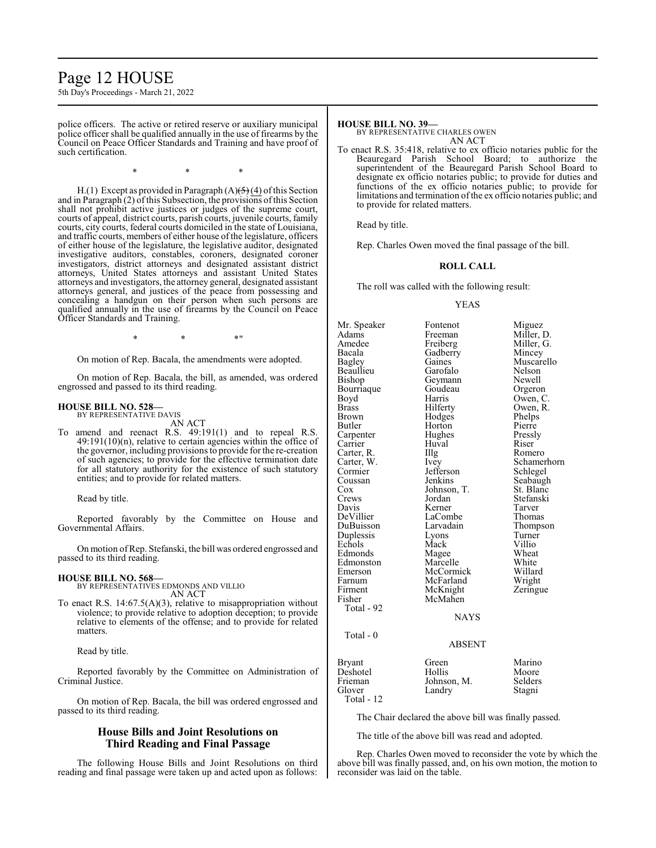# Page 12 HOUSE

5th Day's Proceedings - March 21, 2022

police officers. The active or retired reserve or auxiliary municipal police officer shall be qualified annually in the use of firearms by the Council on Peace Officer Standards and Training and have proof of such certification.

\* \* \*

H.(1) Except as provided in Paragraph  $(A)(\frac{1}{2}(4))$  of this Section and in Paragraph  $(2)$  of this Subsection, the provisions of this Section shall not prohibit active justices or judges of the supreme court, courts of appeal, district courts, parish courts, juvenile courts, family courts, city courts, federal courts domiciled in the state of Louisiana, and traffic courts, members of either house of the legislature, officers of either house of the legislature, the legislative auditor, designated investigative auditors, constables, coroners, designated coroner investigators, district attorneys and designated assistant district attorneys, United States attorneys and assistant United States attorneys and investigators, the attorney general, designated assistant attorneys general, and justices of the peace from possessing and concealing a handgun on their person when such persons are qualified annually in the use of firearms by the Council on Peace Officer Standards and Training.

 $*$  \*  $*$  \*

On motion of Rep. Bacala, the amendments were adopted.

On motion of Rep. Bacala, the bill, as amended, was ordered engrossed and passed to its third reading.

#### **HOUSE BILL NO. 528—**

BY REPRESENTATIVE DAVIS AN ACT

To amend and reenact R.S. 49:191(1) and to repeal R.S. 49:191(10)(n), relative to certain agencies within the office of the governor, including provisions to provide for the re-creation of such agencies; to provide for the effective termination date for all statutory authority for the existence of such statutory entities; and to provide for related matters.

Read by title.

Reported favorably by the Committee on House and Governmental Affairs.

On motion ofRep. Stefanski, the bill was ordered engrossed and passed to its third reading.

#### **HOUSE BILL NO. 568—**

BY REPRESENTATIVES EDMONDS AND VILLIO AN ACT

To enact R.S. 14:67.5(A)(3), relative to misappropriation without violence; to provide relative to adoption deception; to provide relative to elements of the offense; and to provide for related matters.

Read by title.

Reported favorably by the Committee on Administration of Criminal Justice.

On motion of Rep. Bacala, the bill was ordered engrossed and passed to its third reading.

## **House Bills and Joint Resolutions on Third Reading and Final Passage**

The following House Bills and Joint Resolutions on third reading and final passage were taken up and acted upon as follows:

# **HOUSE BILL NO. 39—**

BY REPRESENTATIVE CHARLES OWEN AN ACT

To enact R.S. 35:418, relative to ex officio notaries public for the Beauregard Parish School Board; to authorize the superintendent of the Beauregard Parish School Board to designate ex officio notaries public; to provide for duties and functions of the ex officio notaries public; to provide for limitations and termination of the ex officio notaries public; and to provide for related matters.

Read by title.

Rep. Charles Owen moved the final passage of the bill.

#### **ROLL CALL**

The roll was called with the following result:

#### YEAS

Mr. Speaker Fontenot Miguez<br>Adams Freeman Miller Adams Freeman Miller, D.<br>Amedee Freiberg Miller, G. Amedee Freiberg Miller, G. Bacala Gadberry<br>Bagley Gaines Gaines Muscarello<br>Garofalo Nelson Beaullieu Garofalo Nelson<br>Bishop Geymann Newell Geymann Newell<br>Goudeau Orgeron Bourriaque Goude<br>Boyd Harris Boyd Harris Owen, C.<br>Brass Hilferty Owen, R. Brass Hilferty Owen, R.<br>Brown Hodges Phelps Brown Hodges Phelps Horton Pierre<br>
Hughes Pressly Carpenter Hughes Pressl<br>Carrier Huval Riser Huval Riser<br>Illg Romero Carter, R.<br>Carter, W. Carter, W. Ivey Schamerhorn Cormier Jefferson<br>Coussan Jenkins Coussan Jenkins Seabaugh<br>Cox Johnson, T. St. Blanc Cox Johnson, T.<br>Crews Jordan Crews Jordan Stefanski<br>Davis Kerner Tarver Davis Kerner Tarver<br>DeVillier LaCombe Thomas LaCombe<br>
Larvadain Thompson DuBuisson Larvadain Thomp<br>Duplessis Lyons Turner Duplessis Lyons Turner<br>
Echols Mack Villio Echols Mack Villio<br>Edmonds Magee Wheat Edmonds Magee Wheat<br>
Edmonston Marcelle White Edmonston Marcelle White<br>
Emerson McCormick Willard Emerson McCormick Willard<br>Farnum McFarland Wright Farnum McFarland Wright<br>
Firment McKnight Zeringue Firment McKnight<br>Fisher McMahen McMahen Total - 92 **NAYS**  Total - 0 ABSENT Bryant Green Marino<br>
Deshotel Hollis Moore Deshotel Hollis Moore<br>Frieman Johnson, M. Selders Frieman Johnson, M.<br>Glover Landry Stagni

Total - 12

The Chair declared the above bill was finally passed.

The title of the above bill was read and adopted.

Rep. Charles Owen moved to reconsider the vote by which the above bill was finally passed, and, on his own motion, the motion to reconsider was laid on the table.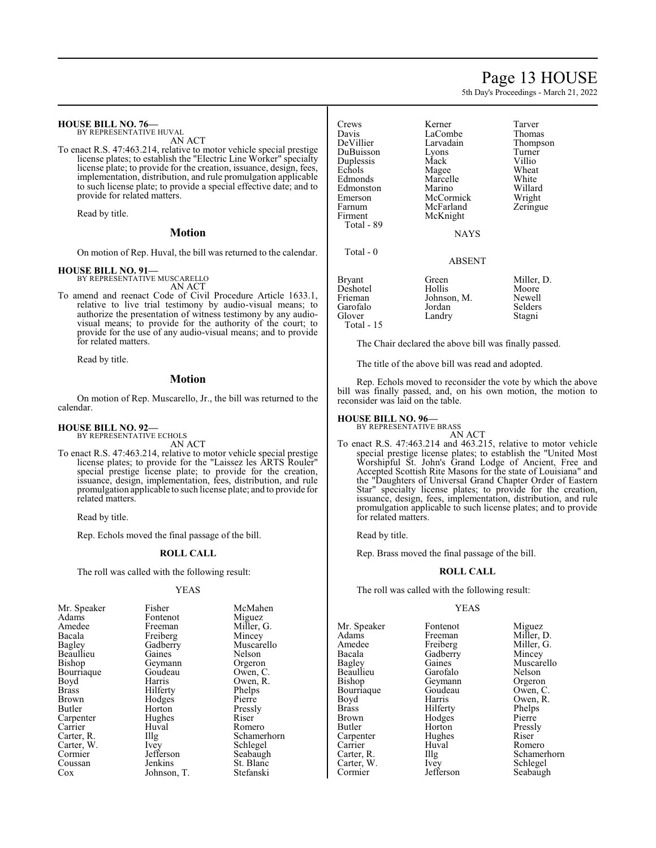# Page 13 HOUSE

5th Day's Proceedings - March 21, 2022

#### **HOUSE BILL NO. 76—** BY REPRESENTATIVE HUVAL

AN ACT

To enact R.S. 47:463.214, relative to motor vehicle special prestige license plates; to establish the "Electric Line Worker" specialty license plate; to provide for the creation, issuance, design, fees, implementation, distribution, and rule promulgation applicable to such license plate; to provide a special effective date; and to provide for related matters.

Read by title.

#### **Motion**

On motion of Rep. Huval, the bill was returned to the calendar.

#### **HOUSE BILL NO. 91—**

BY REPRESENTATIVE MUSCARELLO AN ACT

To amend and reenact Code of Civil Procedure Article 1633.1, relative to live trial testimony by audio-visual means; to authorize the presentation of witness testimony by any audiovisual means; to provide for the authority of the court; to provide for the use of any audio-visual means; and to provide for related matters.

Read by title.

#### **Motion**

On motion of Rep. Muscarello, Jr., the bill was returned to the calendar.

#### **HOUSE BILL NO. 92—** BY REPRESENTATIVE ECHOLS

AN ACT

To enact R.S. 47:463.214, relative to motor vehicle special prestige license plates; to provide for the "Laissez les ARTS Rouler" special prestige license plate; to provide for the creation, issuance, design, implementation, fees, distribution, and rule promulgation applicable to such license plate; and to provide for related matters.

Read by title.

Rep. Echols moved the final passage of the bill.

#### **ROLL CALL**

The roll was called with the following result:

#### YEAS

| Mr. Speaker  | Fisher      | McMahen     |
|--------------|-------------|-------------|
|              |             |             |
| Adams        | Fontenot    | Miguez      |
| Amedee       | Freeman     | Miller, G.  |
| Bacala       | Freiberg    | Mincey      |
| Bagley       | Gadberry    | Muscarello  |
| Beaullieu    | Gaines      | Nelson      |
| Bishop       | Geymann     | Orgeron     |
| Bourriaque   | Goudeau     | Owen, C.    |
| Boyd         | Harris      | Owen, R.    |
| <b>Brass</b> | Hilferty    | Phelps      |
| Brown        | Hodges      | Pierre      |
| Butler       | Horton      | Pressly     |
| Carpenter    | Hughes      | Riser       |
| Carrier      | Huval       | Romero      |
| Carter, R.   | Illg        | Schamerhorn |
| Carter, W.   | Ivey        | Schlegel    |
| Cormier      | Jefferson   | Seabaugh    |
| Coussan      | Jenkins     | St. Blanc   |
| Cox          | Johnson, T. | Stefanski   |

| Crews<br>Davis<br>DeVillier<br>DuBuisson<br>Duplessis<br>Echols<br>Edmonds<br>Edmonston<br>Emerson<br>Farnum<br>Firment<br>Total - 89 | Kerner<br>LaCombe<br>Larvadain<br>Lyons<br>Mack<br>Magee<br>Marcelle<br>Marino<br>McCormick<br>McFarland<br>McKnight | Tarver<br>Thomas<br>Thompson<br>Turner<br>Villio<br>Wheat<br>White<br>Willard<br>Wright<br>Zeringue |
|---------------------------------------------------------------------------------------------------------------------------------------|----------------------------------------------------------------------------------------------------------------------|-----------------------------------------------------------------------------------------------------|
| Total - 0                                                                                                                             | NAYS<br>ABSENT                                                                                                       |                                                                                                     |
| Bryant<br>Deshotel<br>Frieman<br>Garofalo<br>Glover<br>Total - 15                                                                     | Green<br>Hollis<br>Johnson, M.<br>Jordan<br>Landry                                                                   | Miller, D.<br>Moore<br>Newell<br>Selders<br>Stagni                                                  |

The Chair declared the above bill was finally passed.

The title of the above bill was read and adopted.

Rep. Echols moved to reconsider the vote by which the above bill was finally passed, and, on his own motion, the motion to reconsider was laid on the table.

### **HOUSE BILL NO. 96—**

BY REPRESENTATIVE BRASS AN ACT

To enact R.S. 47:463.214 and 463.215, relative to motor vehicle special prestige license plates; to establish the "United Most Worshipful St. John's Grand Lodge of Ancient, Free and Accepted Scottish Rite Masons for the state of Louisiana" and the "Daughters of Universal Grand Chapter Order of Eastern Star" specialty license plates; to provide for the creation, issuance, design, fees, implementation, distribution, and rule promulgation applicable to such license plates; and to provide for related matters.

Read by title.

Rep. Brass moved the final passage of the bill.

#### **ROLL CALL**

The roll was called with the following result:

#### YEAS

Mr. Speaker Fontenot Miguez<br>Adams Freeman Miller, 1 Adams Freeman Miller, D. Amedee Freiberg Miller,<br>
Racala Gadberry Mincey Bacala Gadberry<br>Bagley Gaines Beaullieu Garofalo Nelson<br>Bishop Geymann Orgeron Bourriaque Goude<br>Boyd Harris Boyd Harris Owen, R.<br>Brass Hilferty Phelps Brass Hilferty Phelps Brown Hodges<br>Butler Horton Carpenter Hughe<br>Carrier Huval Carrier Huval Romero<br>Carter, R. Illg Schamer Carter, W.<br>Cormier

Geymann Orgeron<br>Goudeau Owen, C. Horton Pressly<br>Hughes Riser Jefferson Seabaugh

Gaines Muscarello<br>Garofalo Nelson Illg Schamerhorn<br>Ivev Schlegel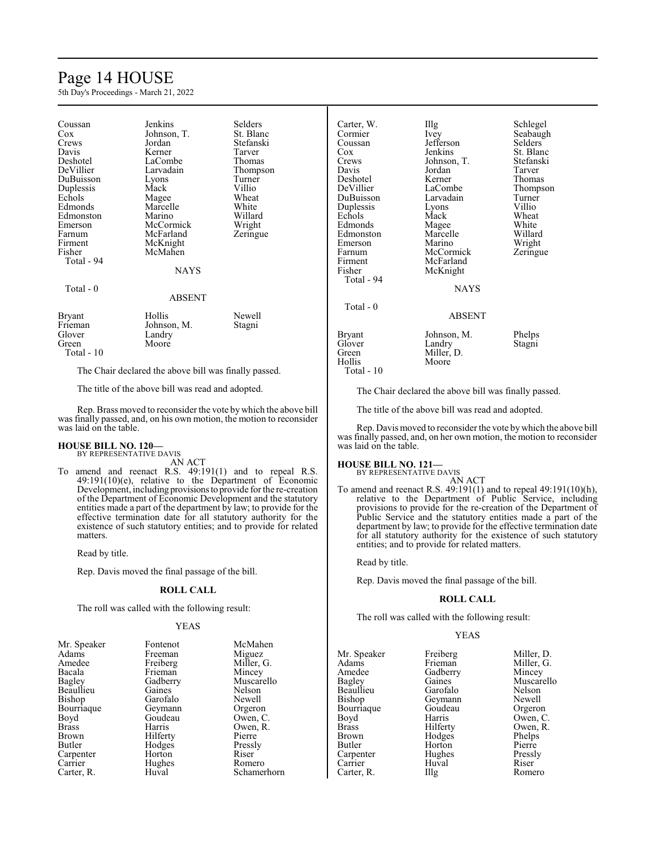# Page 14 HOUSE

5th Day's Proceedings - March 21, 2022

| St. Blanc<br>Johnson, T.<br>Cox<br>Stefanski<br>Jordan<br>Crews<br>Tarver<br>Davis<br>Kerner<br>LaCombe<br>Deshotel<br>Thomas<br>DeVillier<br>Larvadain<br>Thompson<br>DuBuisson<br>Turner<br>Lyons<br>Villio<br>Duplessis<br>Mack<br>Echols<br>Wheat<br>Magee<br>White<br>Edmonds<br>Marcelle<br>Willard<br>Marino<br>Edmonston<br>McCormick<br>Wright<br>Emerson<br>McFarland<br>Zeringue<br>McKnight<br>McMahen<br>Total - 94<br><b>NAYS</b><br>Total - 0<br><b>ABSENT</b><br>Hollis<br>Newell<br><b>Bryant</b><br>Johnson, M.<br>Stagni<br>Frieman<br>Glover<br>Landry<br>Moore<br>Green | Coussan | Jenkins | Selders |  |  |
|----------------------------------------------------------------------------------------------------------------------------------------------------------------------------------------------------------------------------------------------------------------------------------------------------------------------------------------------------------------------------------------------------------------------------------------------------------------------------------------------------------------------------------------------------------------------------------------------|---------|---------|---------|--|--|
|                                                                                                                                                                                                                                                                                                                                                                                                                                                                                                                                                                                              |         |         |         |  |  |
|                                                                                                                                                                                                                                                                                                                                                                                                                                                                                                                                                                                              |         |         |         |  |  |
|                                                                                                                                                                                                                                                                                                                                                                                                                                                                                                                                                                                              |         |         |         |  |  |
|                                                                                                                                                                                                                                                                                                                                                                                                                                                                                                                                                                                              |         |         |         |  |  |
|                                                                                                                                                                                                                                                                                                                                                                                                                                                                                                                                                                                              |         |         |         |  |  |
|                                                                                                                                                                                                                                                                                                                                                                                                                                                                                                                                                                                              |         |         |         |  |  |
|                                                                                                                                                                                                                                                                                                                                                                                                                                                                                                                                                                                              |         |         |         |  |  |
|                                                                                                                                                                                                                                                                                                                                                                                                                                                                                                                                                                                              |         |         |         |  |  |
|                                                                                                                                                                                                                                                                                                                                                                                                                                                                                                                                                                                              |         |         |         |  |  |
|                                                                                                                                                                                                                                                                                                                                                                                                                                                                                                                                                                                              |         |         |         |  |  |
|                                                                                                                                                                                                                                                                                                                                                                                                                                                                                                                                                                                              |         |         |         |  |  |
|                                                                                                                                                                                                                                                                                                                                                                                                                                                                                                                                                                                              |         |         |         |  |  |
|                                                                                                                                                                                                                                                                                                                                                                                                                                                                                                                                                                                              | Farnum  |         |         |  |  |
|                                                                                                                                                                                                                                                                                                                                                                                                                                                                                                                                                                                              | Firment |         |         |  |  |
|                                                                                                                                                                                                                                                                                                                                                                                                                                                                                                                                                                                              | Fisher  |         |         |  |  |
|                                                                                                                                                                                                                                                                                                                                                                                                                                                                                                                                                                                              |         |         |         |  |  |
|                                                                                                                                                                                                                                                                                                                                                                                                                                                                                                                                                                                              |         |         |         |  |  |
|                                                                                                                                                                                                                                                                                                                                                                                                                                                                                                                                                                                              |         |         |         |  |  |
|                                                                                                                                                                                                                                                                                                                                                                                                                                                                                                                                                                                              |         |         |         |  |  |
|                                                                                                                                                                                                                                                                                                                                                                                                                                                                                                                                                                                              |         |         |         |  |  |
|                                                                                                                                                                                                                                                                                                                                                                                                                                                                                                                                                                                              |         |         |         |  |  |
|                                                                                                                                                                                                                                                                                                                                                                                                                                                                                                                                                                                              |         |         |         |  |  |
|                                                                                                                                                                                                                                                                                                                                                                                                                                                                                                                                                                                              |         |         |         |  |  |
| Total - 10                                                                                                                                                                                                                                                                                                                                                                                                                                                                                                                                                                                   |         |         |         |  |  |

The Chair declared the above bill was finally passed.

The title of the above bill was read and adopted.

Rep. Brass moved to reconsider the vote by which the above bill was finally passed, and, on his own motion, the motion to reconsider was laid on the table.

#### **HOUSE BILL NO. 120—** BY REPRESENTATIVE DAVIS

AN ACT

To amend and reenact R.S. 49:191(1) and to repeal R.S. 49:191(10)(e), relative to the Department of Economic Development, including provisions to provide for the re-creation of the Department of Economic Development and the statutory entities made a part of the department by law; to provide for the effective termination date for all statutory authority for the existence of such statutory entities; and to provide for related matters.

Read by title.

Rep. Davis moved the final passage of the bill.

#### **ROLL CALL**

The roll was called with the following result:

#### YEAS

| Fontenot | McMahen            |
|----------|--------------------|
| Freeman  | Miguez             |
| Freiberg | Miller, G.         |
| Frieman  | Mincey             |
| Gadberry | Muscarello         |
| Gaines   | Nelson             |
| Garofalo | Newell             |
| Geymann  | Orgeron            |
| Goudeau  | Owen, C.           |
| Harris   | Owen, R.           |
|          | Pierre             |
| Hodges   | Pressly            |
| Horton   | Riser              |
|          | Romero             |
| Huval    | Schamerhorn        |
|          | Hilferty<br>Hughes |

| Carter, W. | Illg        | Schlegel  |
|------------|-------------|-----------|
| Cormier    | Ivey        | Seabaugh  |
| Coussan    | Jefferson   | Selders   |
| Cox        | Jenkins     | St. Blanc |
| Crews      | Johnson, T. | Stefanski |
| Davis      | Jordan      | Tarver    |
| Deshotel   | Kerner      | Thomas    |
| DeVillier  | LaCombe     | Thompson  |
| DuBuisson  | Larvadain   | Turner    |
| Duplessis  | Lyons       | Villio    |
| Echols     | Mack        | Wheat     |
| Edmonds    | Magee       | White     |
| Edmonston  | Marcelle    | Willard   |
| Emerson    | Marino      | Wright    |
| Farnum     | McCormick   | Zeringue  |
| Firment    | McFarland   |           |
| Fisher     | McKnight    |           |
| Total - 94 |             |           |
|            | <b>NAYS</b> |           |
| Total - 0  |             |           |
|            | ABSENT      |           |
| Bryant     | Johnson, M. | Phelps    |
| Glover     | Landry      | Stagni    |
| Green      | Miller, D.  |           |
| Hollis     | Moore       |           |

Total - 10

The Chair declared the above bill was finally passed.

The title of the above bill was read and adopted.

Rep. Davis moved to reconsider the vote bywhich the above bill was finally passed, and, on her own motion, the motion to reconsider was laid on the table.

#### **HOUSE BILL NO. 121—**

BY REPRESENTATIVE DAVIS AN ACT

To amend and reenact R.S. 49:191(1) and to repeal 49:191(10)(h), relative to the Department of Public Service, including provisions to provide for the re-creation of the Department of Public Service and the statutory entities made a part of the department by law; to provide for the effective termination date for all statutory authority for the existence of such statutory entities; and to provide for related matters.

Read by title.

Rep. Davis moved the final passage of the bill.

#### **ROLL CALL**

The roll was called with the following result:

#### YEAS

| Mr. Speaker   | Freiberg | Miller, D. |
|---------------|----------|------------|
| Adams         | Frieman  | Miller, G. |
| Amedee        | Gadberry | Mincey     |
| Bagley        | Gaines   | Muscarello |
| Beaullieu     | Garofalo | Nelson     |
| <b>Bishop</b> | Geymann  | Newell     |
| Bourriaque    | Goudeau  | Orgeron    |
| Boyd          | Harris   | Owen, C.   |
| <b>Brass</b>  | Hilferty | Owen, R.   |
| Brown         | Hodges   | Phelps     |
| Butler        | Horton   | Pierre     |
| Carpenter     | Hughes   | Pressly    |
| Carrier       | Huval    | Riser      |
| Carter, R.    | Illg     | Romero     |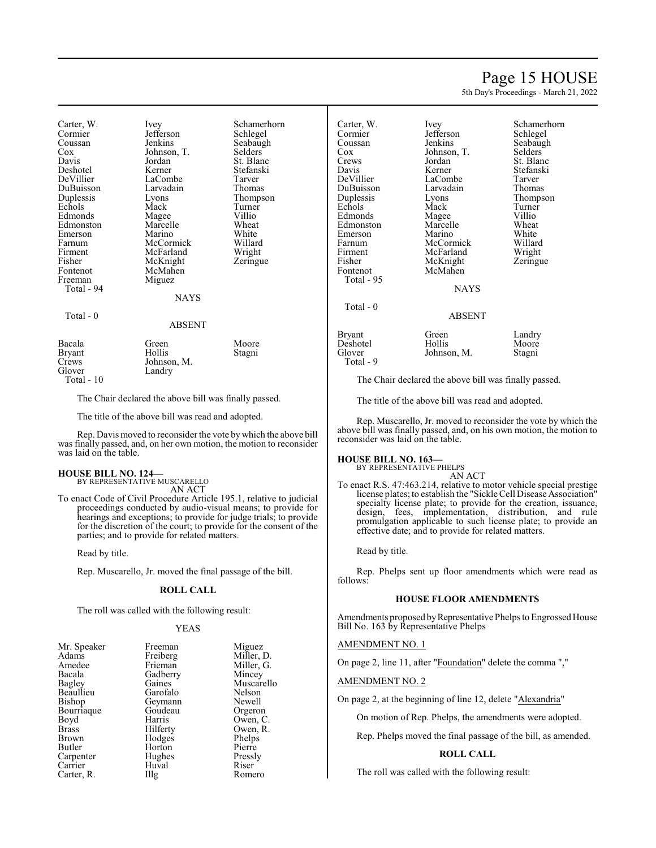# Page 15 HOUSE

5th Day's Proceedings - March 21, 2022

| Carter, W.    | Ivey          | Schamerhorn    | Carter, W.    | Ivev                                                | Schamerho |
|---------------|---------------|----------------|---------------|-----------------------------------------------------|-----------|
| Cormier       | Jefferson     | Schlegel       | Cormier       | Jefferson                                           | Schlegel  |
| Coussan       | Jenkins       | Seabaugh       | Coussan       | Jenkins                                             | Seabaugh  |
| $\cos$        | Johnson, T.   | <b>Selders</b> | Cox           | Johnson, T.                                         | Selders   |
| Davis         | Jordan        | St. Blanc      | Crews         | Jordan                                              | St. Blanc |
| Deshotel      | Kerner        | Stefanski      | Davis         | Kerner                                              | Stefanski |
| DeVillier     | LaCombe       | Tarver         | DeVillier     | LaCombe                                             | Tarver    |
| DuBuisson     | Larvadain     | Thomas         | DuBuisson     | Larvadain                                           | Thomas    |
| Duplessis     | Lyons         | Thompson       | Duplessis     | Lyons                                               | Thompson  |
| Echols        | Mack          | Turner         | Echols        | Mack                                                | Turner    |
| Edmonds       | Magee         | Villio         | Edmonds       | Magee                                               | Villio    |
| Edmonston     | Marcelle      | Wheat          | Edmonston     | Marcelle                                            | Wheat     |
| Emerson       | Marino        | White          | Emerson       | Marino                                              | White     |
| Farnum        | McCormick     | Willard        | Farnum        | McCormick                                           | Willard   |
| Firment       | McFarland     | Wright         | Firment       | McFarland                                           | Wright    |
| Fisher        | McKnight      | Zeringue       | Fisher        | McKnight                                            | Zeringue  |
| Fontenot      | McMahen       |                | Fontenot      | McMahen                                             |           |
| Freeman       | Miguez        |                | Total - 95    |                                                     |           |
| Total - 94    |               |                |               | <b>NAYS</b>                                         |           |
|               | <b>NAYS</b>   |                |               |                                                     |           |
|               |               |                | Total - 0     |                                                     |           |
| Total - 0     |               |                |               | <b>ABSENT</b>                                       |           |
|               | <b>ABSENT</b> |                |               |                                                     |           |
|               |               |                | <b>Bryant</b> | Green                                               | Landry    |
| Bacala        | Green         | Moore          | Deshotel      | Hollis                                              | Moore     |
| <b>Bryant</b> | Hollis        | Stagni         | Glover        | Johnson, M.                                         | Stagni    |
| Crews         | Johnson, M.   |                | Total - 9     |                                                     |           |
| Glover        | Landry        |                |               |                                                     |           |
| Total - 10    |               |                |               | The Chair declared the above bill was finally passe |           |
|               |               |                |               |                                                     |           |

The Chair declared the above bill was finally passed.

The title of the above bill was read and adopted.

Rep. Davis moved to reconsider the vote by which the above bill was finally passed, and, on her own motion, the motion to reconsider was laid on the table.

# **HOUSE BILL NO. 124—** BY REPRESENTATIVE MUSCARELLO

AN ACT

To enact Code of Civil Procedure Article 195.1, relative to judicial proceedings conducted by audio-visual means; to provide for hearings and exceptions; to provide for judge trials; to provide for the discretion of the court; to provide for the consent of the parties; and to provide for related matters.

Read by title.

Rep. Muscarello, Jr. moved the final passage of the bill.

#### **ROLL CALL**

The roll was called with the following result:

#### YEAS

| Mr. Speaker | Freeman   | Miguez     |
|-------------|-----------|------------|
| Adams       | Freiberg  | Miller, D. |
| Amedee      | Frieman   | Miller, G. |
| Bacala      | Gadberry  | Mincey     |
| Bagley      | Gaines    | Muscarello |
| Beaullieu   | Garofalo  | Nelson     |
| Bishop      | Geymann   | Newell     |
| Bourriaque  | Goudeau   | Orgeron    |
| Boyd        | Harris    | Owen, C.   |
| Brass       | Hilferty  | Owen, R.   |
| Brown       | Hodges    | Phelps     |
| Butler      | Horton    | Pierre     |
| Carpenter   | Hughes    | Pressly    |
| Carrier     | Huval     | Riser      |
| Carter, R.  | $\prod$ g | Romero     |
|             |           |            |

| Miguez     |
|------------|
| Miller, D. |
| Miller, G. |
| Mincey     |
| Muscarello |
| Nelson     |
| Newell     |
| Orgeron    |
| Owen, C.   |
| Owen, R.   |
| Phelps     |
| Pierre     |
| Pressly    |
| Riser      |
| Romero     |

nerhorn<br>gel

| Landry |
|--------|
| Moore  |
| Stagni |
|        |

The title of the above bill was read and adopted.

Rep. Muscarello, Jr. moved to reconsider the vote by which the above bill was finally passed, and, on his own motion, the motion to reconsider was laid on the table.

#### **HOUSE BILL NO. 163—**

BY REPRESENTATIVE PHELPS AN ACT

To enact R.S. 47:463.214, relative to motor vehicle special prestige license plates; to establish the "Sickle Cell Disease Association" specialty license plate; to provide for the creation, issuance, design, fees, implementation, distribution, and rule promulgation applicable to such license plate; to provide an effective date; and to provide for related matters.

Read by title.

Rep. Phelps sent up floor amendments which were read as follows:

### **HOUSE FLOOR AMENDMENTS**

Amendments proposed by Representative Phelps to Engrossed House Bill No. 163 by Representative Phelps

#### AMENDMENT NO. 1

On page 2, line 11, after "Foundation" delete the comma ","

#### AMENDMENT NO. 2

On page 2, at the beginning of line 12, delete "Alexandria"

On motion of Rep. Phelps, the amendments were adopted.

Rep. Phelps moved the final passage of the bill, as amended.

#### **ROLL CALL**

The roll was called with the following result: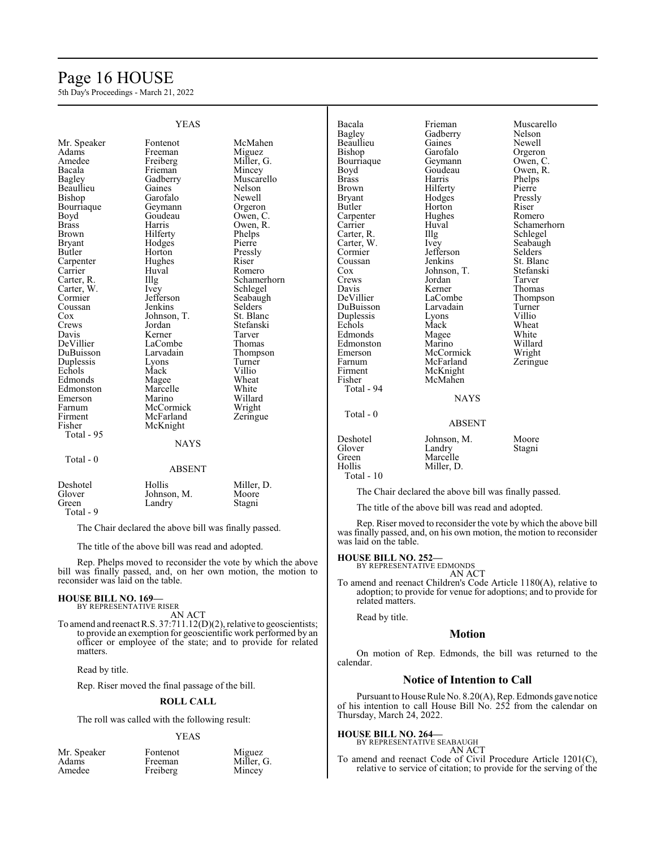# Page 16 HOUSE

5th Day's Proceedings - March 21, 2022

| <b>YEAS</b>   |                   | Bacala<br>Bagley | Frieman<br>Gadberry | Muscarello<br>Nelson                                  |                |
|---------------|-------------------|------------------|---------------------|-------------------------------------------------------|----------------|
| Mr. Speaker   | Fontenot          | McMahen          | <b>Beaullieu</b>    | Gaines                                                | Newell         |
| Adams         | Freeman           | Miguez           | Bishop              | Garofalo                                              |                |
|               |                   |                  |                     |                                                       | Orgeron        |
| Amedee        | Freiberg          | Miller, G.       | Bourriaque          | Geymann                                               | Owen, C.       |
| Bacala        | Frieman           | Mincey           | Boyd                | Goudeau                                               | Owen, R.       |
| Bagley        | Gadberry          | Muscarello       | <b>Brass</b>        | Harris                                                | Phelps         |
| Beaullieu     | Gaines            | Nelson           | <b>Brown</b>        | Hilferty                                              | Pierre         |
| Bishop        | Garofalo          | Newell           | <b>Bryant</b>       | Hodges                                                | Pressly        |
| Bourriaque    | Geymann           | Orgeron          | Butler              | Horton                                                | Riser          |
| Boyd          | Goudeau           | Owen, C.         | Carpenter           | Hughes                                                | Romero         |
| <b>Brass</b>  | Harris            | Owen, R.         | Carrier             | Huval                                                 | Schamerhorn    |
| <b>Brown</b>  | Hilferty          | Phelps           | Carter, R.          | Illg                                                  | Schlegel       |
| <b>Bryant</b> | Hodges            | Pierre           | Carter, W.          | Ivey                                                  | Seabaugh       |
| <b>Butler</b> | Horton            | Pressly          | Cormier             | Jefferson                                             | <b>Selders</b> |
| Carpenter     | Hughes            | Riser            | Coussan             | Jenkins                                               | St. Blanc      |
| Carrier       | Huval             | Romero           | Cox                 | Johnson, T.                                           | Stefanski      |
| Carter, R.    | $\prod_{i=1}^{n}$ | Schamerhorn      | Crews               | Jordan                                                | Tarver         |
| Carter, W.    | Ivey              | Schlegel         | Davis               | Kerner                                                | <b>Thomas</b>  |
| Cormier       | Jefferson         | Seabaugh         | DeVillier           | LaCombe                                               | Thompson       |
| Coussan       | Jenkins           | <b>Selders</b>   | DuBuisson           | Larvadain                                             | Turner         |
| Cox           | Johnson, T.       | St. Blanc        | Duplessis           | Lyons                                                 | Villio         |
| Crews         | Jordan            | Stefanski        | Echols              | Mack                                                  | Wheat          |
| Davis         | Kerner            | Tarver           | Edmonds             | Magee                                                 | White          |
| DeVillier     | LaCombe           | Thomas           | Edmonston           | Marino                                                | Willard        |
| DuBuisson     | Larvadain         | Thompson         | Emerson             | McCormick                                             | Wright         |
| Duplessis     | Lyons             | Turner           | Farnum              | McFarland                                             | Zeringue       |
| Echols        | Mack              | Villio           | Firment             | McKnight                                              |                |
| Edmonds       | Magee             | Wheat            | Fisher              | McMahen                                               |                |
| Edmonston     | Marcelle          | White            | Total - 94          |                                                       |                |
| Emerson       | Marino            | Willard          |                     | <b>NAYS</b>                                           |                |
| Farnum        | McCormick         | Wright           |                     |                                                       |                |
| Firment       | McFarland         |                  | Total - 0           |                                                       |                |
| Fisher        |                   | Zeringue         |                     | <b>ABSENT</b>                                         |                |
|               | McKnight          |                  |                     |                                                       |                |
| Total - 95    |                   |                  | Deshotel            | Johnson, M.                                           | Moore          |
|               | <b>NAYS</b>       |                  | Glover              | Landry                                                | Stagni         |
| Total - 0     |                   |                  | Green               | Marcelle                                              |                |
|               | <b>ABSENT</b>     |                  | Hollis              | Miller, D.                                            |                |
|               |                   |                  | Total - 10          |                                                       |                |
| Deshotel      | Hollis            | Miller, D.       |                     |                                                       |                |
| Glover        | Johnson, M.       | Moore            |                     | The Chair declared the above bill was finally passed. |                |
| Green         | Landry            | Stagni           |                     |                                                       |                |
| Total - 9     |                   |                  |                     | The title of the above bill was read and adopted.     |                |

The Chair declared the above bill was finally passed.

The title of the above bill was read and adopted.

Rep. Phelps moved to reconsider the vote by which the above bill was finally passed, and, on her own motion, the motion to reconsider was laid on the table.

#### **HOUSE BILL NO. 169—** BY REPRESENTATIVE RISER

AN ACT To amend and reenactR.S. 37:711.12(D)(2), relative to geoscientists; to provide an exemption for geoscientific work performed by an officer or employee of the state; and to provide for related matters.

Read by title.

Rep. Riser moved the final passage of the bill.

### **ROLL CALL**

The roll was called with the following result:

#### YEAS

| Mr. Speaker | Fontenot | Miguez     |
|-------------|----------|------------|
| Adams       | Freeman  | Miller, G. |
| Amedee      | Freiberg | Mincey     |

Rep. Riser moved to reconsider the vote by which the above bill was finally passed, and, on his own motion, the motion to reconsider was laid on the table.

#### **HOUSE BILL NO. 252—**

BY REPRESENTATIVE EDMONDS AN ACT

To amend and reenact Children's Code Article 1180(A), relative to adoption; to provide for venue for adoptions; and to provide for related matters.

Read by title.

#### **Motion**

On motion of Rep. Edmonds, the bill was returned to the calendar.

### **Notice of Intention to Call**

Pursuant to House Rule No. 8.20(A), Rep. Edmonds gave notice of his intention to call House Bill No. 252 from the calendar on Thursday, March 24, 2022.

# **HOUSE BILL NO. 264—** BY REPRESENTATIVE SEABAUGH

| ATIVE SEABAUGH |        |
|----------------|--------|
|                | AN ACT |

To amend and reenact Code of Civil Procedure Article 1201(C), relative to service of citation; to provide for the serving of the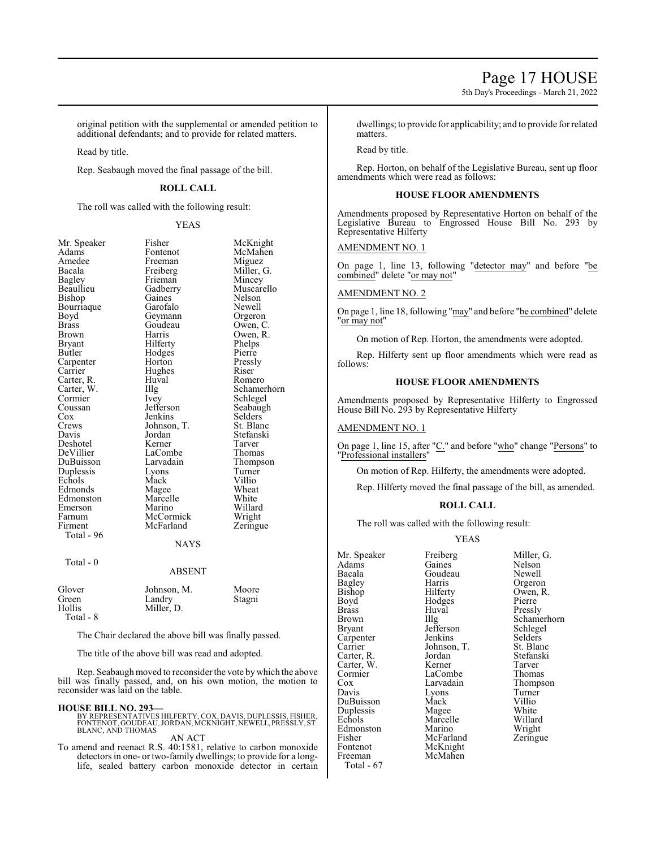5th Day's Proceedings - March 21, 2022

original petition with the supplemental or amended petition to additional defendants; and to provide for related matters.

Read by title.

Rep. Seabaugh moved the final passage of the bill.

# **ROLL CALL**

The roll was called with the following result:

#### YEAS

| Mr. Speaker  | Fisher        | McKnight    |
|--------------|---------------|-------------|
| Adams        | Fontenot      | McMahen     |
| Amedee       | Freeman       | Miguez      |
| Bacala       | Freiberg      | Miller, G.  |
| Bagley       | Frieman       | Mincey      |
| Beaullieu    | Gadberry      | Muscarello  |
| Bishop       | Gaines        | Nelson      |
| Bourriaque   | Garofalo      | Newell      |
| Boyd         | Geymann       | Orgeron     |
| <b>Brass</b> | Goudeau       | Owen, C.    |
| Brown        | Harris        | Owen, R.    |
| Bryant       | Hilferty      | Phelps      |
| Butler       | Hodges        | Pierre      |
| Carpenter    | Horton        | Pressly     |
| Carrier      | Hughes        | Riser       |
| Carter, R.   | Huval         | Romero      |
| Carter, W.   | Illg          | Schamerhorn |
| Cormier      | Ivey          | Schlegel    |
| Coussan      | Jefferson     | Seabaugh    |
| Cox          | Jenkins       | Selders     |
| Crews        | Johnson, T.   | St. Blanc   |
| Davis        | Jordan        | Stefanski   |
| Deshotel     | Kerner        | Tarver      |
| DeVillier    | LaCombe       | Thomas      |
| DuBuisson    | Larvadain     | Thompson    |
| Duplessis    | Lyons         | Turner      |
| Echols       | Mack          | Villio      |
| Edmonds      | Magee         | Wheat       |
| Edmonston    | Marcelle      | White       |
| Emerson      | Marino        | Willard     |
| Farnum       | McCormick     | Wright      |
| Firment      | McFarland     | Zeringue    |
| Total - 96   |               |             |
|              | <b>NAYS</b>   |             |
|              |               |             |
| Total - 0    | <b>ABSENT</b> |             |
|              |               |             |
| Glover       | Johnson, M.   | Moore       |
| Green        | Landry        | Stagni      |
| Hollis       | Miller, D.    |             |
| Total - 8    |               |             |

The Chair declared the above bill was finally passed.

The title of the above bill was read and adopted.

Rep. Seabaugh moved to reconsider the vote bywhich the above bill was finally passed, and, on his own motion, the motion to reconsider was laid on the table.

#### **HOUSE BILL NO. 293—**

BY REPRESENTATIVES HILFERTY, COX, DAVIS, DUPLESSIS, FISHER,<br>FONTENOT, GOUDEAU, JORDAN, MCKNIGHT, NEWELL, PRESSLY, ST.<br>BLANC, AND THOMAS

AN ACT

To amend and reenact R.S. 40:1581, relative to carbon monoxide detectors in one- or two-family dwellings; to provide for a longlife, sealed battery carbon monoxide detector in certain

dwellings; to provide for applicability; and to provide for related matters.

Read by title.

Rep. Horton, on behalf of the Legislative Bureau, sent up floor amendments which were read as follows:

# **HOUSE FLOOR AMENDMENTS**

Amendments proposed by Representative Horton on behalf of the Legislative Bureau to Engrossed House Bill No. 293 by Representative Hilferty

#### AMENDMENT NO. 1

On page 1, line 13, following "detector may" and before "be combined" delete "or may not"

#### AMENDMENT NO. 2

On page 1, line 18, following "may" and before "be combined" delete "or may not"

On motion of Rep. Horton, the amendments were adopted.

Rep. Hilferty sent up floor amendments which were read as follows:

### **HOUSE FLOOR AMENDMENTS**

Amendments proposed by Representative Hilferty to Engrossed House Bill No. 293 by Representative Hilferty

#### AMENDMENT NO. 1

On page 1, line 15, after "C." and before "who" change "Persons" to "Professional installers"

On motion of Rep. Hilferty, the amendments were adopted.

Rep. Hilferty moved the final passage of the bill, as amended.

#### **ROLL CALL**

The roll was called with the following result:

#### YEAS

Mr. Speaker Freiberg Miller, G.<br>Adams Gaines Nelson Adams Gaines Nelson<br>Bacala Goudeau Newell Bacala Goudeau<br>Bagley Harris Bagley Harris Orgeron<br>Bishop Hilferty Owen, R Bishop Hilferty Owen, R.<br>Boyd Hodges Pierre Boyd Hodges<br>Brass Huval Brass Huval Pressly<br>Brown IIIg Schame Brown Illg Schamerhorn<br>Bryant Jefferson Schlegel Carpenter Jenkins Selders<br>Carrier Johnson, T. St. Blanc Carrier Johnson, T.<br>Carter, R. Jordan Carter, W. Cormier LaCombe Thomas<br>
Cox Larvadain Thomps Cox Larvadain Thompson<br>
Davis Lyons Turner Lyons Turner<br>Mack Villio DuBuisson Mack Villio<br>
Duplessis Magee White Duplessis Magee White Marcelle Willard<br>
Marino Wright Edmonston Marino Wright<br>
Fisher McFarland Zeringue Fisher McFarland<br>
Fontenot McKnight McKnight Freeman McMahen Total - 67

Jefferson Schlegel<br>Jenkins Selders Jordan Stefanski<br>Kerner Tarver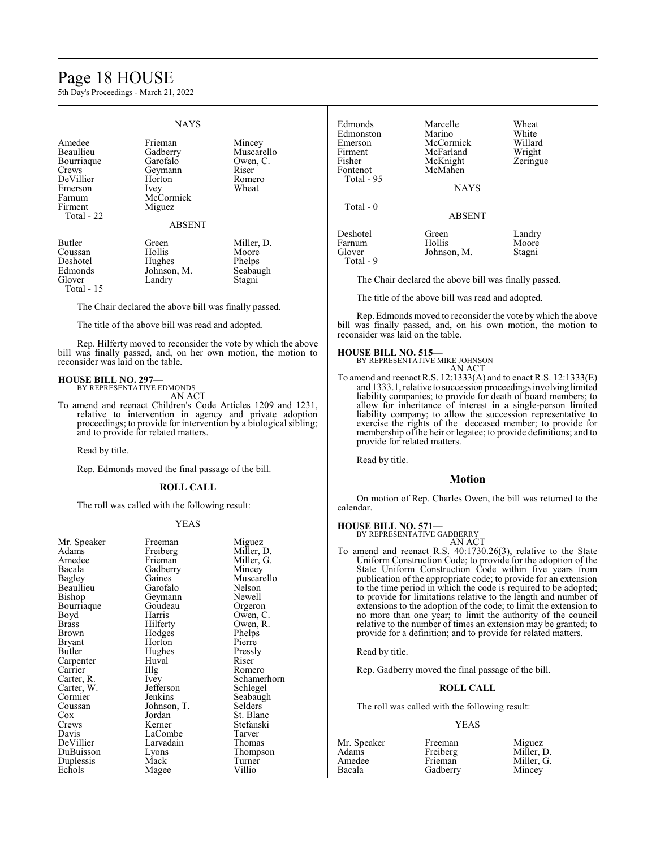# Page 18 HOUSE

5th Day's Proceedings - March 21, 2022

#### **NAYS** Amedee Frieman Mincey<br>Beaullieu Gadberry Muscar Gadberry Muscarello<br>Garofalo Owen, C. Bourriaque Garofalo Owen<br>Crews Geymann Riser Geymann DeVillier Horton Romero Emerson<br>Farnum Farnum McCormick<br>Firment Miguez Miguez Total - 22 ABSENT Butler Green Miller, D.<br>Coussan Hollis Moore Coussan Hollis<br>Deshotel Hughe Deshotel Hughes Phelps<br>Edmonds Johnson, M. Seabaugh Edmonds Johnson, M. Seabau<br>Glover Landry Stagni Landry

Total - 15

The Chair declared the above bill was finally passed.

The title of the above bill was read and adopted.

Rep. Hilferty moved to reconsider the vote by which the above bill was finally passed, and, on her own motion, the motion to reconsider was laid on the table.

# **HOUSE BILL NO. 297—** BY REPRESENTATIVE EDMONDS

AN ACT

To amend and reenact Children's Code Articles 1209 and 1231, relative to intervention in agency and private adoption proceedings; to provide for intervention by a biological sibling; and to provide for related matters.

Read by title.

Rep. Edmonds moved the final passage of the bill.

#### **ROLL CALL**

The roll was called with the following result:

#### YEAS

| Mr. Speaker<br>Adams<br>Amedee<br>Bacala<br>Bagley<br>Beaullieu<br>Bishop<br>Bourriaque<br>Boyd<br>Brass<br>Brown<br><b>Bryant</b><br>Butler<br>Carpenter<br>Carrier<br>Carter, R.<br>Carter, W.<br>Cormier<br>Coussan<br>Cox<br>Crews<br>Davis | Freeman<br>Freiberg<br>Frieman<br>Gadberry<br>Gaines<br>Garofalo<br>Geymann<br>Goudeau<br>Harris<br>Hilferty<br>Hodges<br>Horton<br>Hughes<br>Huval<br>Illg<br>Ivey<br>Jefferson<br>Jenkins<br>Johnson, T.<br>Jordan<br>Kerner<br>LaCombe | Miguez<br>Miller, D.<br>Miller, G.<br>Mincey<br>Muscarello<br>Nelson<br>Newell<br>Orgeron<br>Owen, C.<br>Owen, R.<br>Phelps<br>Pierre<br>Pressly<br>Riser<br>Romero<br>Schamerhorn<br>Schlegel<br>Seabaugh<br>Selders<br>St. Blanc<br>Stefanski<br>Tarver |
|-------------------------------------------------------------------------------------------------------------------------------------------------------------------------------------------------------------------------------------------------|-------------------------------------------------------------------------------------------------------------------------------------------------------------------------------------------------------------------------------------------|-----------------------------------------------------------------------------------------------------------------------------------------------------------------------------------------------------------------------------------------------------------|
|                                                                                                                                                                                                                                                 |                                                                                                                                                                                                                                           |                                                                                                                                                                                                                                                           |
| DeVillier<br>DuBuisson<br>Duplessis                                                                                                                                                                                                             | Larvadain<br>Lyons<br>Mack                                                                                                                                                                                                                | Thomas<br>Thompson<br>Turner                                                                                                                                                                                                                              |
| Echols                                                                                                                                                                                                                                          | Magee                                                                                                                                                                                                                                     | Villio                                                                                                                                                                                                                                                    |
|                                                                                                                                                                                                                                                 |                                                                                                                                                                                                                                           |                                                                                                                                                                                                                                                           |

| Edmonds<br>Edmonston<br>Emerson<br>Firment<br>Fisher<br>Fontenot<br>Total - 95 | Marcelle<br>Marino<br>McCormick<br>McFarland<br>McKnight<br>McMahen<br><b>NAYS</b> | Wheat<br>White<br>Willard<br>Wright<br>Zeringue |
|--------------------------------------------------------------------------------|------------------------------------------------------------------------------------|-------------------------------------------------|
| Total $-0$                                                                     | <b>ABSENT</b>                                                                      |                                                 |
| Deshotel<br>Farnum<br>Glover<br>Total - 9                                      | Green<br>Hollis<br>Johnson, M.                                                     | Landry<br>Moore<br>Stagni                       |

The Chair declared the above bill was finally passed.

The title of the above bill was read and adopted.

Rep. Edmonds moved to reconsider the vote by which the above bill was finally passed, and, on his own motion, the motion to reconsider was laid on the table.

# **HOUSE BILL NO. 515—**

BY REPRESENTATIVE MIKE JOHNSON AN ACT

To amend and reenact R.S. 12:1333(A) and to enact R.S. 12:1333(E) and 1333.1, relative to succession proceedings involving limited liability companies; to provide for death of board members; to allow for inheritance of interest in a single-person limited liability company; to allow the succession representative to exercise the rights of the deceased member; to provide for membership of the heir or legatee; to provide definitions; and to provide for related matters.

Read by title.

### **Motion**

On motion of Rep. Charles Owen, the bill was returned to the calendar.

#### **HOUSE BILL NO. 571—**

BY REPRESENTATIVE GADBERRY AN ACT

To amend and reenact R.S. 40:1730.26(3), relative to the State Uniform Construction Code; to provide for the adoption of the State Uniform Construction Code within five years from publication of the appropriate code; to provide for an extension to the time period in which the code is required to be adopted; to provide for limitations relative to the length and number of extensions to the adoption of the code; to limit the extension to no more than one year; to limit the authority of the council relative to the number of times an extension may be granted; to provide for a definition; and to provide for related matters.

Read by title.

Rep. Gadberry moved the final passage of the bill.

#### **ROLL CALL**

The roll was called with the following result:

Gadberry

#### YEAS

| Mr. Speake |
|------------|
|            |
|            |
|            |
|            |

er Freeman Miguez<br>Freiberg Miller, 1 Freiberg Miller, D.<br>Frieman Miller, G. Miller, G.<br>Mincey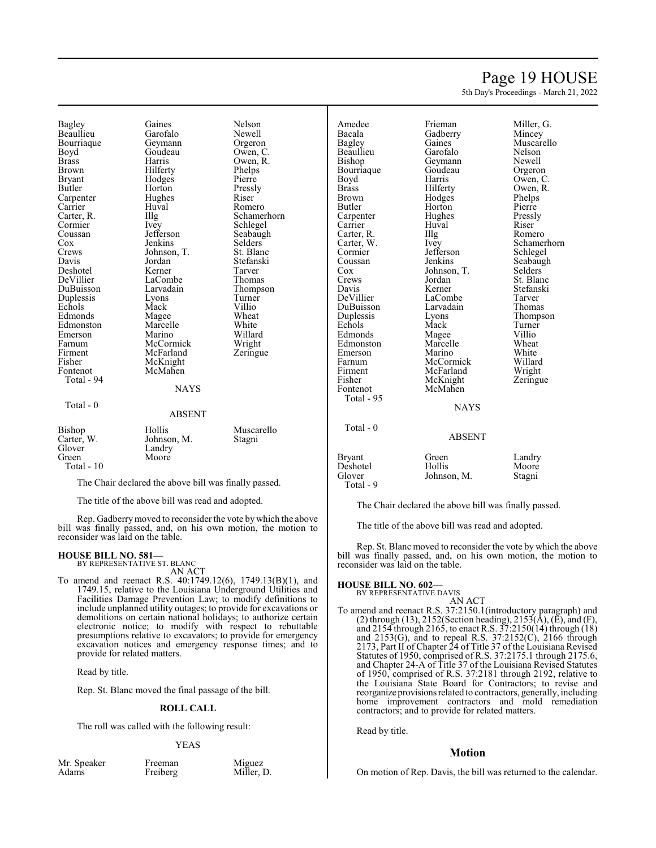# Page 19 HOUSE

5th Day's Proceedings - March 21, 2022

Bagley Gaines Nelson Beaullieu Garofalo Newell<br>Bourriaque Geymann Orgeron Bourriaque Geymann Orgeron<br>Boyd Goudeau Owen, C Boyd Goudeau<br>Brass Harris Brass Harris Owen, R.<br>Brown Hilferty Phelps Bryant Hodges Pierre<br>Butler Horton Pressly Carpenter Hughe<br>Carrier Huval Carrier Huval Romero<br>Carter, R. Illg Schame Carter, R. Illg Schamerhorn<br>
Cormier Ivev Schlegel Cormier Ivey Schlegel<br>Coussan Jefferson Seabaugh Coussan Jefferson Seabaug<br>Cox Jenkins Selders Cox Jenkins Selders<br>Crews Johnson, T. St. Blanc Davis Jordan Stefanski Deshotel Kerner Tarver DeVillier LaCombe<br>
DuBuisson Larvadain Duplessis Lyons Turner Echols Mack Villio<br>Edmonds Magee Wheat Edmonds Magee Wheat<br>Edmonston Marcelle White Edmonston Marcelle White<br>
Emerson Marino Willard Emerson Marino Willard<br>Farnum McCormick Wright Farnum McCormick Wright<br>Firment McFarland Zeringue Firment McFarland<br>
Fisher McKnight Fisher McKnight<br>Fontenot McMahen Total - 94 Total - 0

Hilferty<br>Hodges Pierre Horton Pressl<br>Hughes Riser Johnson, T.<br>Jordan Larvadain Thompson<br>Lyons Turner McMahen **NAYS** ABSENT

| Bishop      | Hollis      | Muscarello |
|-------------|-------------|------------|
| Carter, W.  | Johnson, M. | Stagni     |
| Glover      | Landry      |            |
| Green       | Moore       |            |
| Total $-10$ |             |            |

The Chair declared the above bill was finally passed.

The title of the above bill was read and adopted.

Rep. Gadberrymoved to reconsider the vote by which the above bill was finally passed, and, on his own motion, the motion to reconsider was laid on the table.

# **HOUSE BILL NO. 581—**

BY REPRESENTATIVE ST. BLANC

AN ACT To amend and reenact R.S. 40:1749.12(6), 1749.13(B)(1), and 1749.15, relative to the Louisiana Underground Utilities and Facilities Damage Prevention Law; to modify definitions to include unplanned utility outages; to provide for excavations or demolitions on certain national holidays; to authorize certain electronic notice; to modify with respect to rebuttable presumptions relative to excavators; to provide for emergency excavation notices and emergency response times; and to provide for related matters.

Read by title.

Rep. St. Blanc moved the final passage of the bill.

### **ROLL CALL**

The roll was called with the following result:

#### YEAS

|       | Mr. Speaker |  |
|-------|-------------|--|
| Adams |             |  |

Freeman Miguez<br>Freiberg Miller, 1 Miller, D.

Amedee Frieman Miller, G.<br>Bacala Gadberry Mincey Bacala Gadberry<br>Bagley Gaines Beaullieu Garofalo Nelson Bourriaque<br>Boyd Boyd Harris Owen, C. Brass Hilferty Owen, R.<br>Brown Hodges Phelps Brown Hodges Phelps<br>Butler Horton Pierre Carpenter Hughes Pressl<br>Carrier Huval Riser Carrier Huval Riser<br>Carter, R. Illg Romero Carter, R. Illg<br>Carter, W. Ivey Cormier Jefferson Schlegel<br>Coussan Jenkins Seabaugh Coussan Jenkins Seabaugh<br>Cox Johnson, T. Selders Cox Johnson, T.<br>Crews Jordan Crews Jordan St. Blanc<br>
Davis Kerner Stefanski Davis Kerner Stefanski DuBuisson Larvad<br>
Duplessis Lyons Echols Mack Turne<br>Edmonds Magee Villio Edmonston Marcelle Wheat<br>
Emerson Marino White Emerson Marino White<br>Farnum McCormick Willard Farnum McCormick Willard Firment McFarland<br>Fisher McKnight Fisher McKnight Zeringue<br>Fontenot McMahen Total - 95 Total - 0

Total - 9

Magee Villio<br>
Marcelle Wheat McMahen

Gaines Muscarello<br>Garofalo Nelson Geymann Newell<br>Goudeau Orgeron Horton Pierre<br>Hughes Pressly Carter, W. Ivey Schamerhorn<br>
Cormier Jefferson Schlegel LaCombe Tarver<br>
Larvadain Thomas Lyons Thompson<br>Mack Turner

#### NAYS

# ABSENT Bryant Green Landry<br>
Deshotel Hollis Moore Deshotel Hollis Moore<br>Glover Johnson, M. Stagni

Johnson, M.

The Chair declared the above bill was finally passed.

The title of the above bill was read and adopted.

Rep. St. Blanc moved to reconsider the vote by which the above bill was finally passed, and, on his own motion, the motion to reconsider was laid on the table.

#### **HOUSE BILL NO. 602—**

BY REPRESENTATIVE DAVIS

AN ACT To amend and reenact R.S. 37:2150.1(introductory paragraph) and (2) through (13), 2152(Section heading), 2153( $\overline{A}$ ), ( $\overline{E}$ ), and (F), and 2154 through 2165, to enact R.S. 37:2150(14) through (18) and 2153(G), and to repeal R.S. 37:2152(C), 2166 through 2173, Part II of Chapter 24 of Title 37 of the Louisiana Revised Statutes of 1950, comprised of R.S. 37:2175.1 through 2175.6, and Chapter 24-A of Title 37 of the Louisiana Revised Statutes of 1950, comprised of R.S. 37:2181 through 2192, relative to the Louisiana State Board for Contractors; to revise and reorganize provisions related to contractors, generally, including home improvement contractors and mold remediation contractors; and to provide for related matters.

Read by title.

#### **Motion**

On motion of Rep. Davis, the bill was returned to the calendar.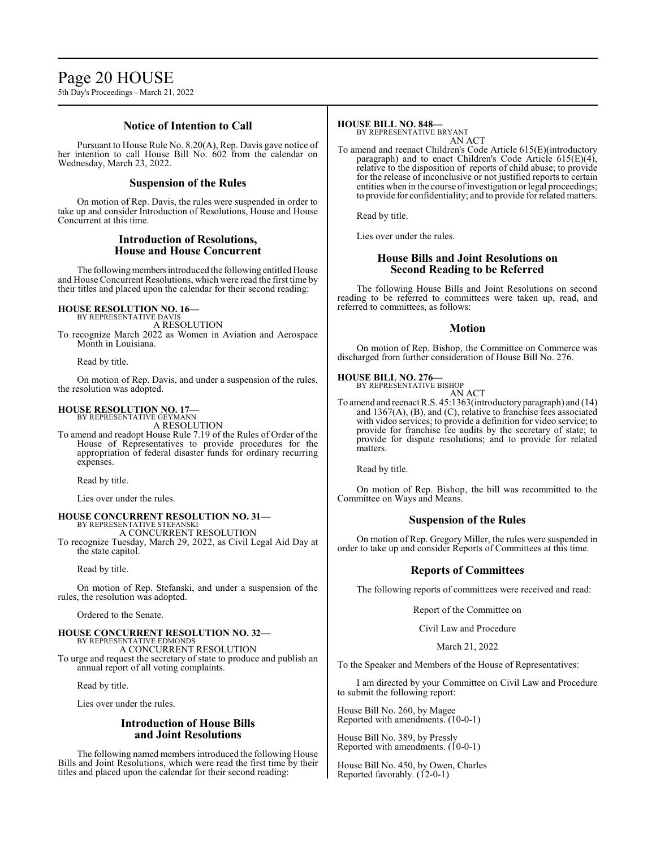# Page 20 HOUSE

5th Day's Proceedings - March 21, 2022

# **Notice of Intention to Call**

Pursuant to House Rule No. 8.20(A), Rep. Davis gave notice of her intention to call House Bill No. 602 from the calendar on Wednesday, March 23, 2022.

# **Suspension of the Rules**

On motion of Rep. Davis, the rules were suspended in order to take up and consider Introduction of Resolutions, House and House Concurrent at this time.

### **Introduction of Resolutions, House and House Concurrent**

The following members introduced the following entitled House and House Concurrent Resolutions, which were read the first time by their titles and placed upon the calendar for their second reading:

# **HOUSE RESOLUTION NO. 16—** BY REPRESENTATIVE DAVIS

A RESOLUTION

To recognize March 2022 as Women in Aviation and Aerospace Month in Louisiana.

Read by title.

On motion of Rep. Davis, and under a suspension of the rules, the resolution was adopted.

# **HOUSE RESOLUTION NO. 17—**

BY REPRESENTATIVE GEYMANN A RESOLUTION

To amend and readopt House Rule 7.19 of the Rules of Order of the House of Representatives to provide procedures for the appropriation of federal disaster funds for ordinary recurring expenses.

Read by title.

Lies over under the rules.

#### **HOUSE CONCURRENT RESOLUTION NO. 31—** BY REPRESENTATIVE STEFANSKI A CONCURRENT RESOLUTION

To recognize Tuesday, March 29, 2022, as Civil Legal Aid Day at the state capitol.

Read by title.

On motion of Rep. Stefanski, and under a suspension of the rules, the resolution was adopted.

Ordered to the Senate.

#### **HOUSE CONCURRENT RESOLUTION NO. 32—** BY REPRESENTATIVE EDMONDS A CONCURRENT RESOLUTION To urge and request the secretary of state to produce and publish an

annual report of all voting complaints.

Read by title.

Lies over under the rules.

# **Introduction of House Bills and Joint Resolutions**

The following named members introduced the following House Bills and Joint Resolutions, which were read the first time by their titles and placed upon the calendar for their second reading:

# **HOUSE BILL NO. 848—**

BY REPRESENTATIVE BRYANT AN ACT

To amend and reenact Children's Code Article 615(E)(introductory paragraph) and to enact Children's Code Article 615(E)(4), relative to the disposition of reports of child abuse; to provide for the release of inconclusive or not justified reports to certain entities when in the course of investigation or legal proceedings; to provide for confidentiality; and to provide for related matters.

Read by title.

Lies over under the rules.

# **House Bills and Joint Resolutions on Second Reading to be Referred**

The following House Bills and Joint Resolutions on second reading to be referred to committees were taken up, read, and referred to committees, as follows:

#### **Motion**

On motion of Rep. Bishop, the Committee on Commerce was discharged from further consideration of House Bill No. 276.

**HOUSE BILL NO. 276—** BY REPRESENTATIVE BISHOP

AN ACT To amend and reenact R.S. 45:1363(introductoryparagraph) and (14) and 1367(A), (B), and (C), relative to franchise fees associated with video services; to provide a definition for video service; to provide for franchise fee audits by the secretary of state; to provide for dispute resolutions; and to provide for related matters.

Read by title.

On motion of Rep. Bishop, the bill was recommitted to the Committee on Ways and Means.

# **Suspension of the Rules**

On motion of Rep. Gregory Miller, the rules were suspended in order to take up and consider Reports of Committees at this time.

# **Reports of Committees**

The following reports of committees were received and read:

Report of the Committee on

Civil Law and Procedure

March 21, 2022

To the Speaker and Members of the House of Representatives:

I am directed by your Committee on Civil Law and Procedure to submit the following report:

House Bill No. 260, by Magee Reported with amendments. (10-0-1)

House Bill No. 389, by Pressly Reported with amendments. (10-0-1)

House Bill No. 450, by Owen, Charles Reported favorably. (12-0-1)